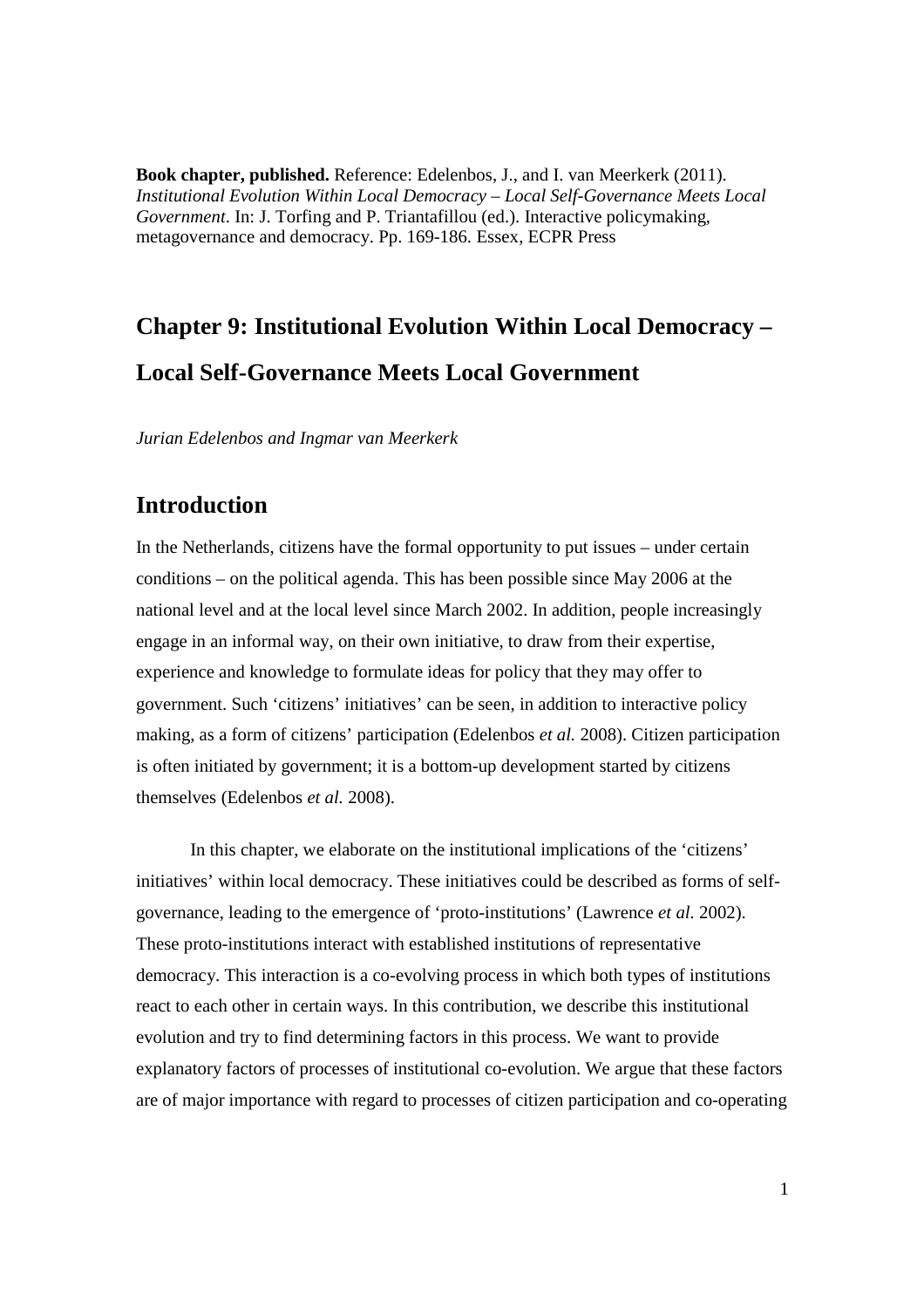**Book chapter, published.** Reference: Edelenbos, J., and I. van Meerkerk (2011). *Institutional Evolution Within Local Democracy – Local Self-Governance Meets Local Government*. In: J. Torfing and P. Triantafillou (ed.). Interactive policymaking, metagovernance and democracy. Pp. 169-186. Essex, ECPR Press

# **Chapter 9: Institutional Evolution Within Local Democracy – Local Self-Governance Meets Local Government**

*Jurian Edelenbos and Ingmar van Meerkerk*

# **Introduction**

In the Netherlands, citizens have the formal opportunity to put issues – under certain conditions – on the political agenda. This has been possible since May 2006 at the national level and at the local level since March 2002. In addition, people increasingly engage in an informal way, on their own initiative, to draw from their expertise, experience and knowledge to formulate ideas for policy that they may offer to government. Such 'citizens' initiatives' can be seen, in addition to interactive policy making, as a form of citizens' participation (Edelenbos *et al.* 2008). Citizen participation is often initiated by government; it is a bottom-up development started by citizens themselves (Edelenbos *et al.* 2008).

In this chapter, we elaborate on the institutional implications of the 'citizens' initiatives' within local democracy. These initiatives could be described as forms of selfgovernance, leading to the emergence of 'proto-institutions' (Lawrence *et al.* 2002). These proto-institutions interact with established institutions of representative democracy. This interaction is a co-evolving process in which both types of institutions react to each other in certain ways. In this contribution, we describe this institutional evolution and try to find determining factors in this process. We want to provide explanatory factors of processes of institutional co-evolution. We argue that these factors are of major importance with regard to processes of citizen participation and co-operating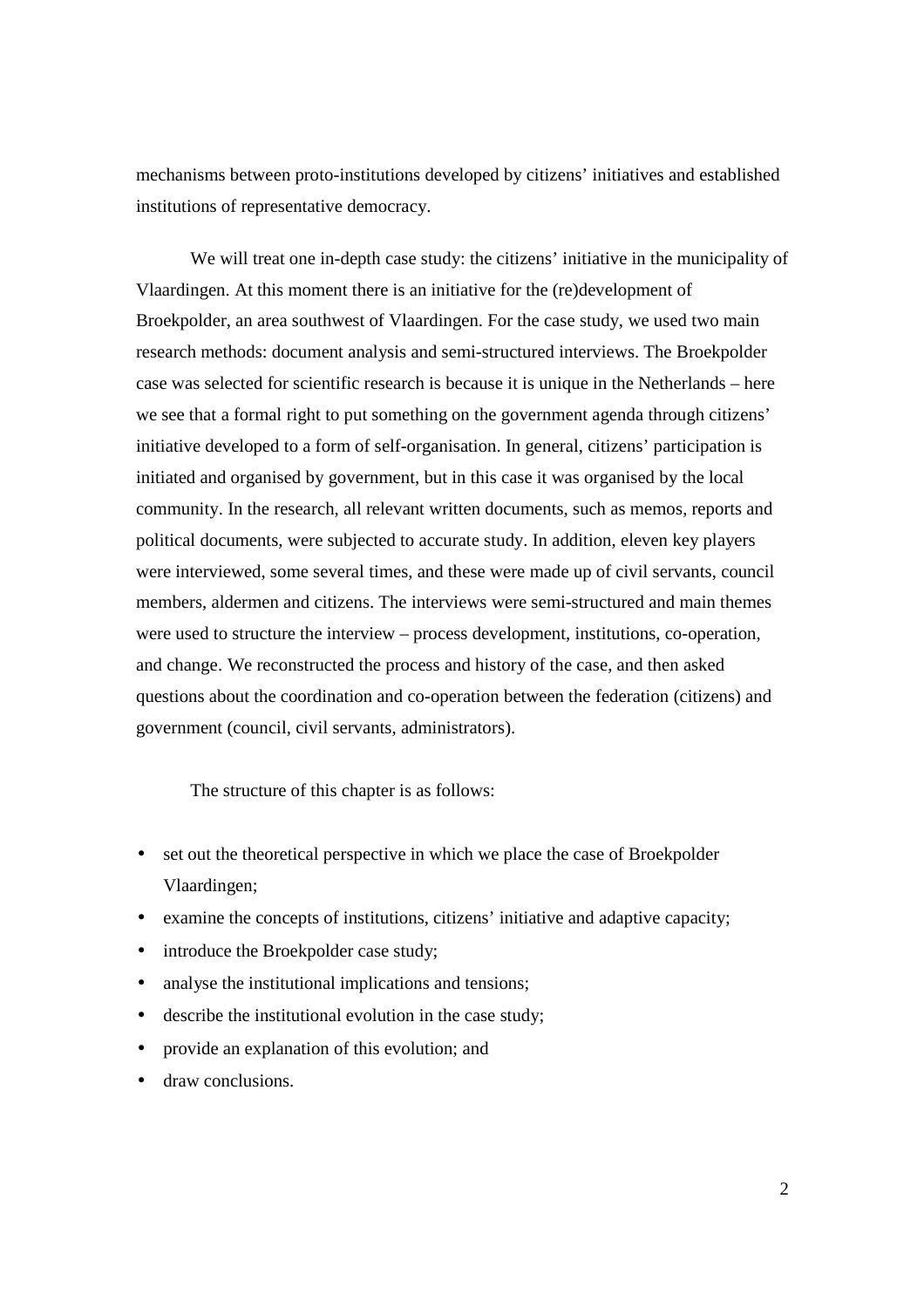mechanisms between proto-institutions developed by citizens' initiatives and established institutions of representative democracy.

We will treat one in-depth case study: the citizens' initiative in the municipality of Vlaardingen. At this moment there is an initiative for the (re)development of Broekpolder, an area southwest of Vlaardingen. For the case study, we used two main research methods: document analysis and semi-structured interviews. The Broekpolder case was selected for scientific research is because it is unique in the Netherlands – here we see that a formal right to put something on the government agenda through citizens' initiative developed to a form of self-organisation. In general, citizens' participation is initiated and organised by government, but in this case it was organised by the local community. In the research, all relevant written documents, such as memos, reports and political documents, were subjected to accurate study. In addition, eleven key players were interviewed, some several times, and these were made up of civil servants, council members, aldermen and citizens. The interviews were semi-structured and main themes were used to structure the interview – process development, institutions, co-operation, and change. We reconstructed the process and history of the case, and then asked questions about the coordination and co-operation between the federation (citizens) and government (council, civil servants, administrators).

The structure of this chapter is as follows:

- set out the theoretical perspective in which we place the case of Broekpolder Vlaardingen;
- examine the concepts of institutions, citizens' initiative and adaptive capacity;
- introduce the Broekpolder case study;
- analyse the institutional implications and tensions;
- describe the institutional evolution in the case study;
- provide an explanation of this evolution; and
- draw conclusions.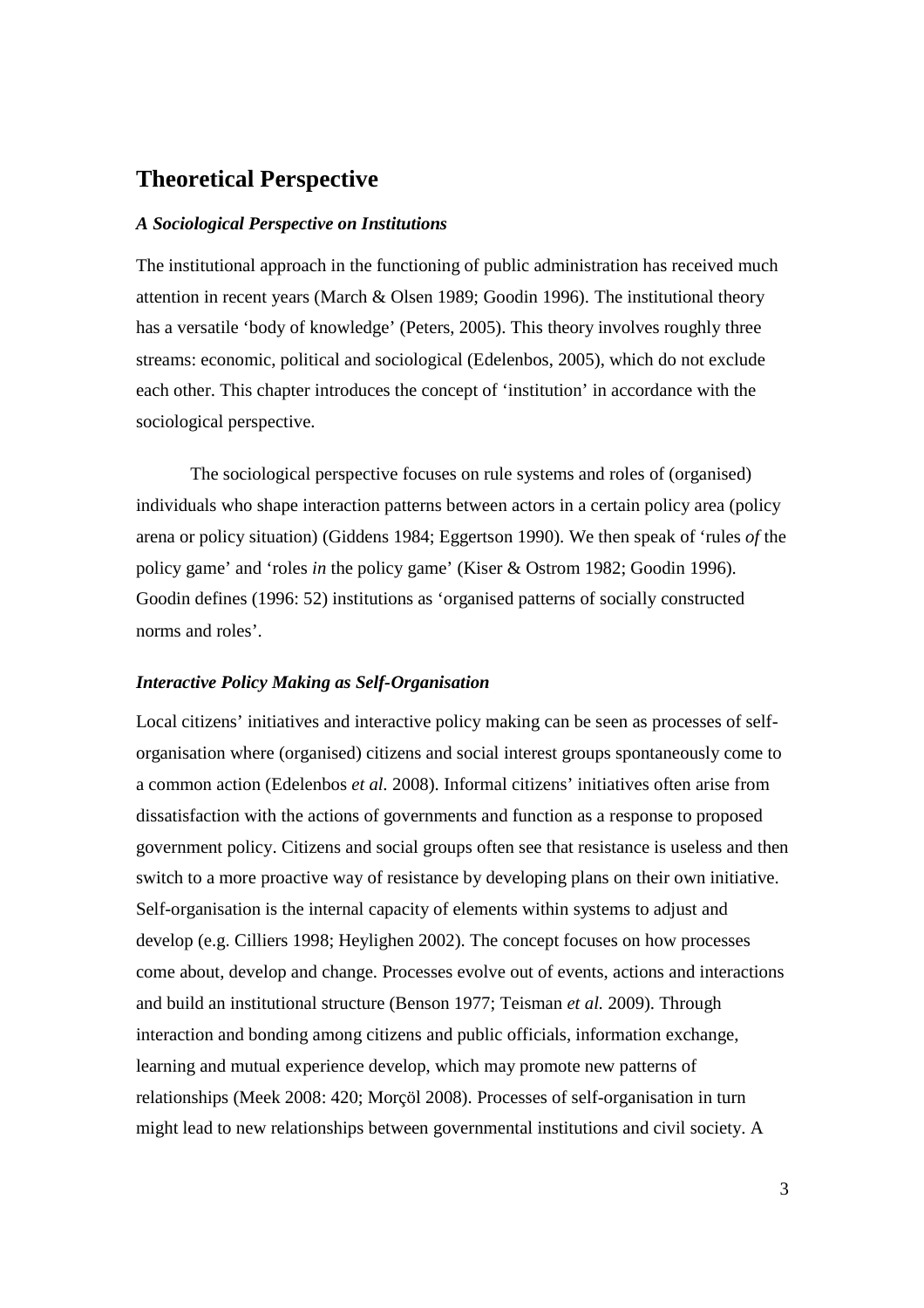# **Theoretical Perspective**

#### *A Sociological Perspective on Institutions*

The institutional approach in the functioning of public administration has received much attention in recent years (March & Olsen 1989; Goodin 1996). The institutional theory has a versatile 'body of knowledge' (Peters, 2005). This theory involves roughly three streams: economic, political and sociological (Edelenbos, 2005), which do not exclude each other. This chapter introduces the concept of 'institution' in accordance with the sociological perspective.

The sociological perspective focuses on rule systems and roles of (organised) individuals who shape interaction patterns between actors in a certain policy area (policy arena or policy situation) (Giddens 1984; Eggertson 1990). We then speak of 'rules *of* the policy game' and 'roles *in* the policy game' (Kiser & Ostrom 1982; Goodin 1996). Goodin defines (1996: 52) institutions as 'organised patterns of socially constructed norms and roles'.

#### *Interactive Policy Making as Self-Organisation*

Local citizens' initiatives and interactive policy making can be seen as processes of selforganisation where (organised) citizens and social interest groups spontaneously come to a common action (Edelenbos *et al.* 2008). Informal citizens' initiatives often arise from dissatisfaction with the actions of governments and function as a response to proposed government policy. Citizens and social groups often see that resistance is useless and then switch to a more proactive way of resistance by developing plans on their own initiative. Self-organisation is the internal capacity of elements within systems to adjust and develop (e.g. Cilliers 1998; Heylighen 2002). The concept focuses on how processes come about, develop and change. Processes evolve out of events, actions and interactions and build an institutional structure (Benson 1977; Teisman *et al.* 2009). Through interaction and bonding among citizens and public officials, information exchange, learning and mutual experience develop, which may promote new patterns of relationships (Meek 2008: 420; Morçöl 2008). Processes of self-organisation in turn might lead to new relationships between governmental institutions and civil society. A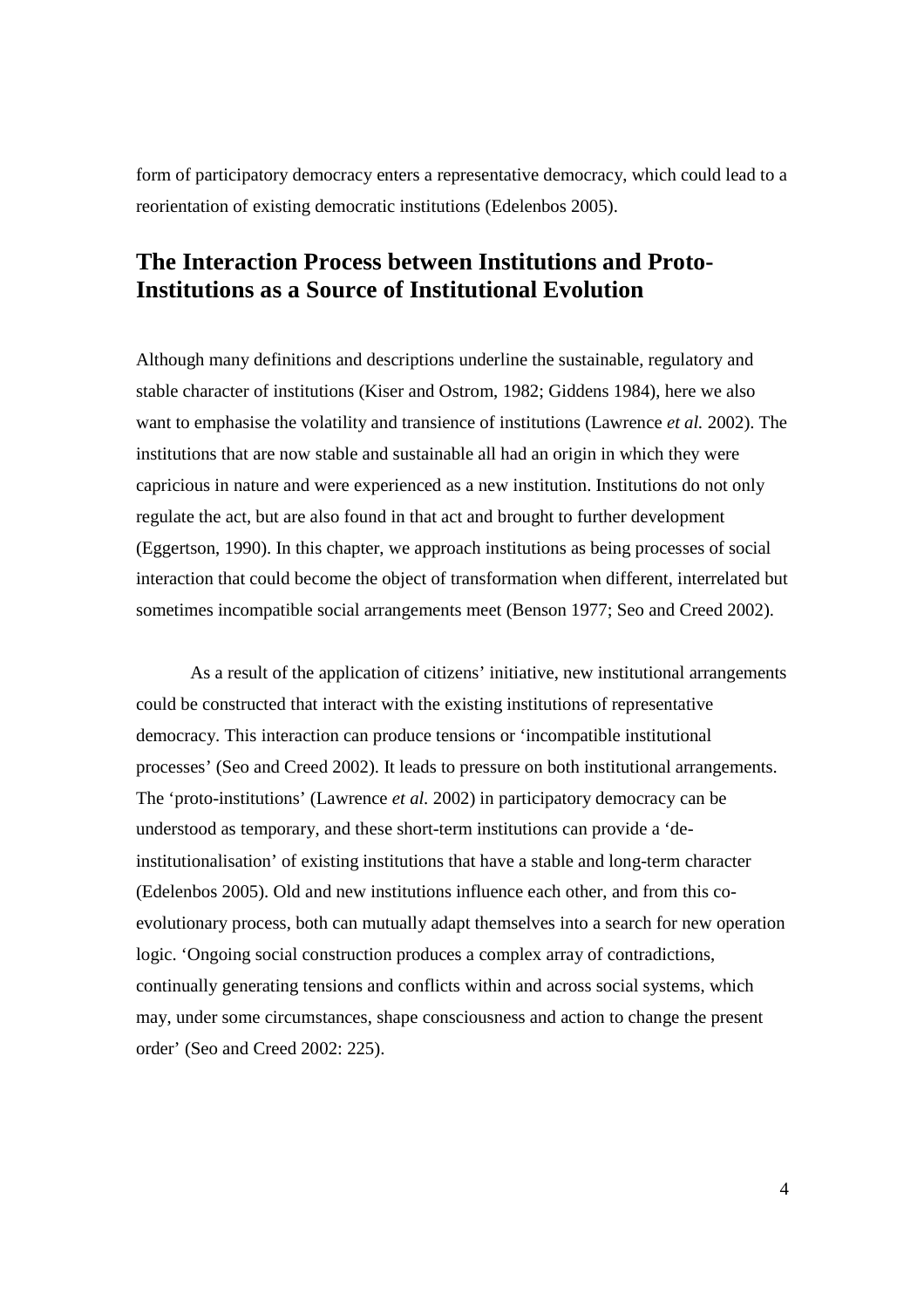form of participatory democracy enters a representative democracy, which could lead to a reorientation of existing democratic institutions (Edelenbos 2005).

# **The Interaction Process between Institutions and Proto-Institutions as a Source of Institutional Evolution**

Although many definitions and descriptions underline the sustainable, regulatory and stable character of institutions (Kiser and Ostrom, 1982; Giddens 1984), here we also want to emphasise the volatility and transience of institutions (Lawrence *et al.* 2002). The institutions that are now stable and sustainable all had an origin in which they were capricious in nature and were experienced as a new institution. Institutions do not only regulate the act, but are also found in that act and brought to further development (Eggertson, 1990). In this chapter, we approach institutions as being processes of social interaction that could become the object of transformation when different, interrelated but sometimes incompatible social arrangements meet (Benson 1977; Seo and Creed 2002).

As a result of the application of citizens' initiative, new institutional arrangements could be constructed that interact with the existing institutions of representative democracy. This interaction can produce tensions or 'incompatible institutional processes' (Seo and Creed 2002). It leads to pressure on both institutional arrangements. The 'proto-institutions' (Lawrence *et al.* 2002) in participatory democracy can be understood as temporary, and these short-term institutions can provide a 'deinstitutionalisation' of existing institutions that have a stable and long-term character (Edelenbos 2005). Old and new institutions influence each other, and from this coevolutionary process, both can mutually adapt themselves into a search for new operation logic. 'Ongoing social construction produces a complex array of contradictions, continually generating tensions and conflicts within and across social systems, which may, under some circumstances, shape consciousness and action to change the present order' (Seo and Creed 2002: 225).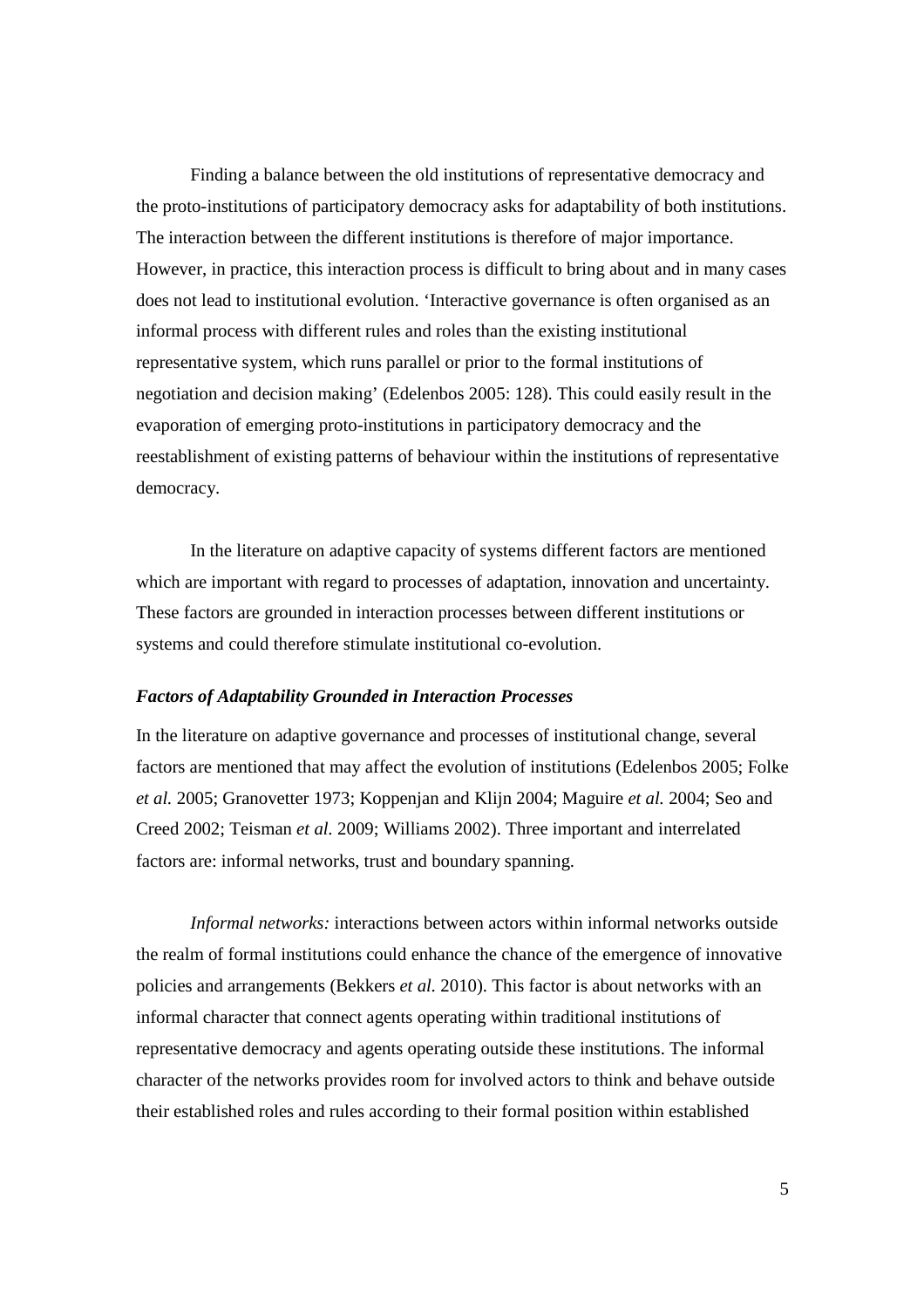Finding a balance between the old institutions of representative democracy and the proto-institutions of participatory democracy asks for adaptability of both institutions. The interaction between the different institutions is therefore of major importance. However, in practice, this interaction process is difficult to bring about and in many cases does not lead to institutional evolution. 'Interactive governance is often organised as an informal process with different rules and roles than the existing institutional representative system, which runs parallel or prior to the formal institutions of negotiation and decision making' (Edelenbos 2005: 128). This could easily result in the evaporation of emerging proto-institutions in participatory democracy and the reestablishment of existing patterns of behaviour within the institutions of representative democracy.

In the literature on adaptive capacity of systems different factors are mentioned which are important with regard to processes of adaptation, innovation and uncertainty. These factors are grounded in interaction processes between different institutions or systems and could therefore stimulate institutional co-evolution.

#### *Factors of Adaptability Grounded in Interaction Processes*

In the literature on adaptive governance and processes of institutional change, several factors are mentioned that may affect the evolution of institutions (Edelenbos 2005; Folke *et al.* 2005; Granovetter 1973; Koppenjan and Klijn 2004; Maguire *et al.* 2004; Seo and Creed 2002; Teisman *et al.* 2009; Williams 2002). Three important and interrelated factors are: informal networks, trust and boundary spanning.

*Informal networks:* interactions between actors within informal networks outside the realm of formal institutions could enhance the chance of the emergence of innovative policies and arrangements (Bekkers *et al.* 2010). This factor is about networks with an informal character that connect agents operating within traditional institutions of representative democracy and agents operating outside these institutions. The informal character of the networks provides room for involved actors to think and behave outside their established roles and rules according to their formal position within established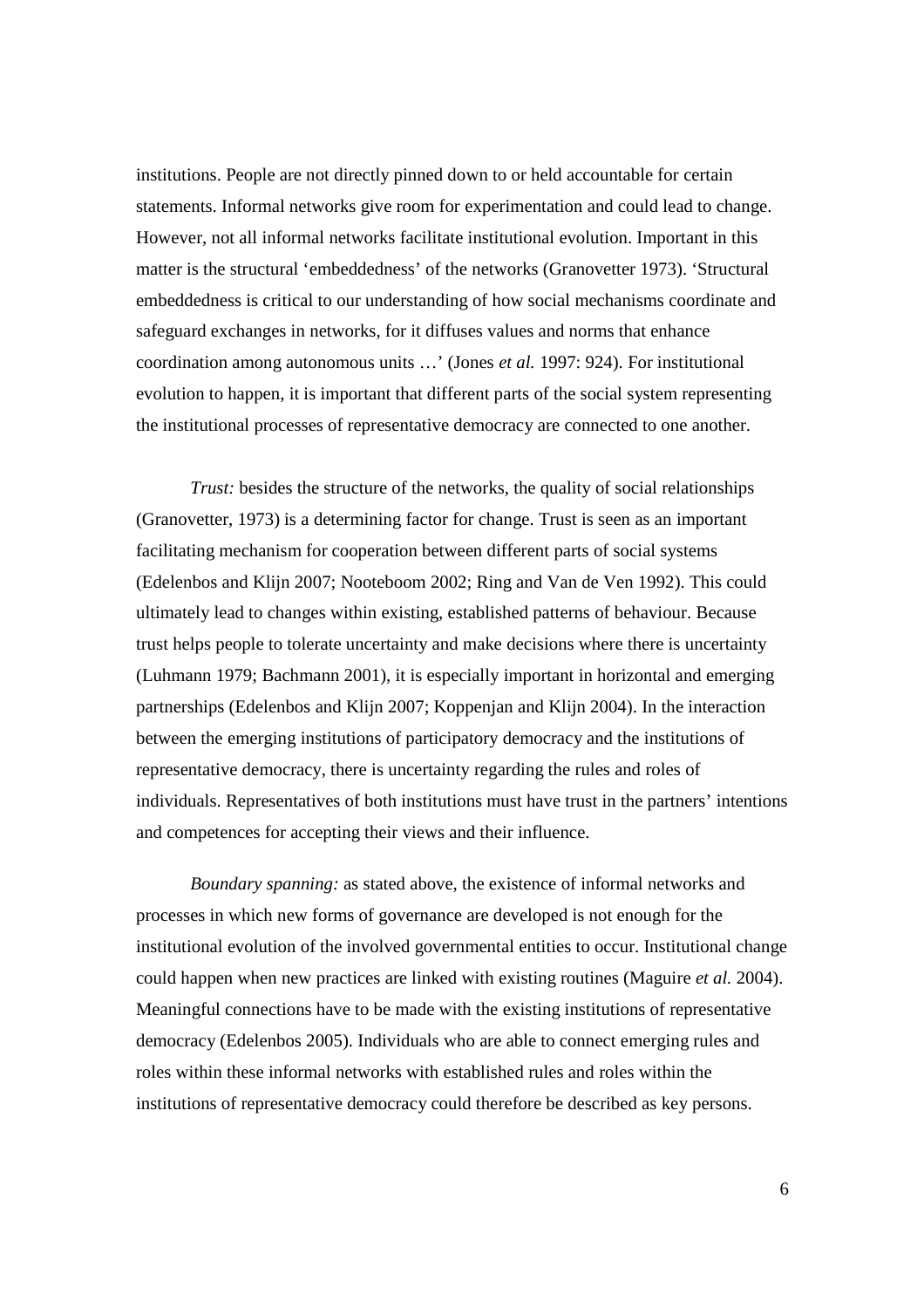institutions. People are not directly pinned down to or held accountable for certain statements. Informal networks give room for experimentation and could lead to change. However, not all informal networks facilitate institutional evolution. Important in this matter is the structural 'embeddedness' of the networks (Granovetter 1973). 'Structural embeddedness is critical to our understanding of how social mechanisms coordinate and safeguard exchanges in networks, for it diffuses values and norms that enhance coordination among autonomous units …' (Jones *et al.* 1997: 924). For institutional evolution to happen, it is important that different parts of the social system representing the institutional processes of representative democracy are connected to one another.

*Trust:* besides the structure of the networks, the quality of social relationships (Granovetter, 1973) is a determining factor for change. Trust is seen as an important facilitating mechanism for cooperation between different parts of social systems (Edelenbos and Klijn 2007; Nooteboom 2002; Ring and Van de Ven 1992). This could ultimately lead to changes within existing, established patterns of behaviour. Because trust helps people to tolerate uncertainty and make decisions where there is uncertainty (Luhmann 1979; Bachmann 2001), it is especially important in horizontal and emerging partnerships (Edelenbos and Klijn 2007; Koppenjan and Klijn 2004). In the interaction between the emerging institutions of participatory democracy and the institutions of representative democracy, there is uncertainty regarding the rules and roles of individuals. Representatives of both institutions must have trust in the partners' intentions and competences for accepting their views and their influence.

*Boundary spanning:* as stated above, the existence of informal networks and processes in which new forms of governance are developed is not enough for the institutional evolution of the involved governmental entities to occur. Institutional change could happen when new practices are linked with existing routines (Maguire *et al.* 2004). Meaningful connections have to be made with the existing institutions of representative democracy (Edelenbos 2005). Individuals who are able to connect emerging rules and roles within these informal networks with established rules and roles within the institutions of representative democracy could therefore be described as key persons.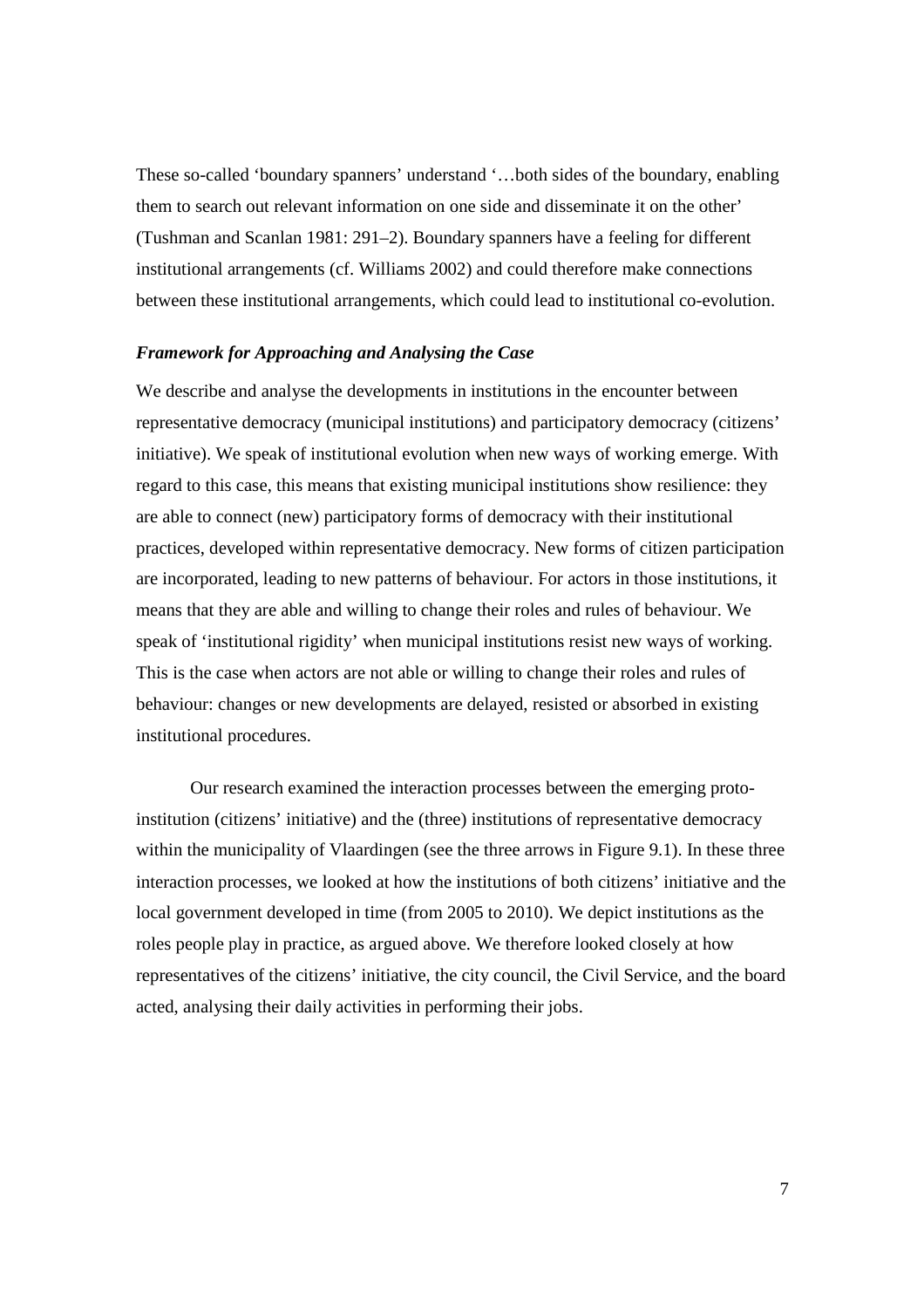These so-called 'boundary spanners' understand '…both sides of the boundary, enabling them to search out relevant information on one side and disseminate it on the other' (Tushman and Scanlan 1981: 291–2). Boundary spanners have a feeling for different institutional arrangements (cf. Williams 2002) and could therefore make connections between these institutional arrangements, which could lead to institutional co-evolution.

#### *Framework for Approaching and Analysing the Case*

We describe and analyse the developments in institutions in the encounter between representative democracy (municipal institutions) and participatory democracy (citizens' initiative). We speak of institutional evolution when new ways of working emerge. With regard to this case, this means that existing municipal institutions show resilience: they are able to connect (new) participatory forms of democracy with their institutional practices, developed within representative democracy. New forms of citizen participation are incorporated, leading to new patterns of behaviour. For actors in those institutions, it means that they are able and willing to change their roles and rules of behaviour. We speak of 'institutional rigidity' when municipal institutions resist new ways of working. This is the case when actors are not able or willing to change their roles and rules of behaviour: changes or new developments are delayed, resisted or absorbed in existing institutional procedures.

Our research examined the interaction processes between the emerging protoinstitution (citizens' initiative) and the (three) institutions of representative democracy within the municipality of Vlaardingen (see the three arrows in Figure 9.1). In these three interaction processes, we looked at how the institutions of both citizens' initiative and the local government developed in time (from 2005 to 2010). We depict institutions as the roles people play in practice, as argued above. We therefore looked closely at how representatives of the citizens' initiative, the city council, the Civil Service, and the board acted, analysing their daily activities in performing their jobs.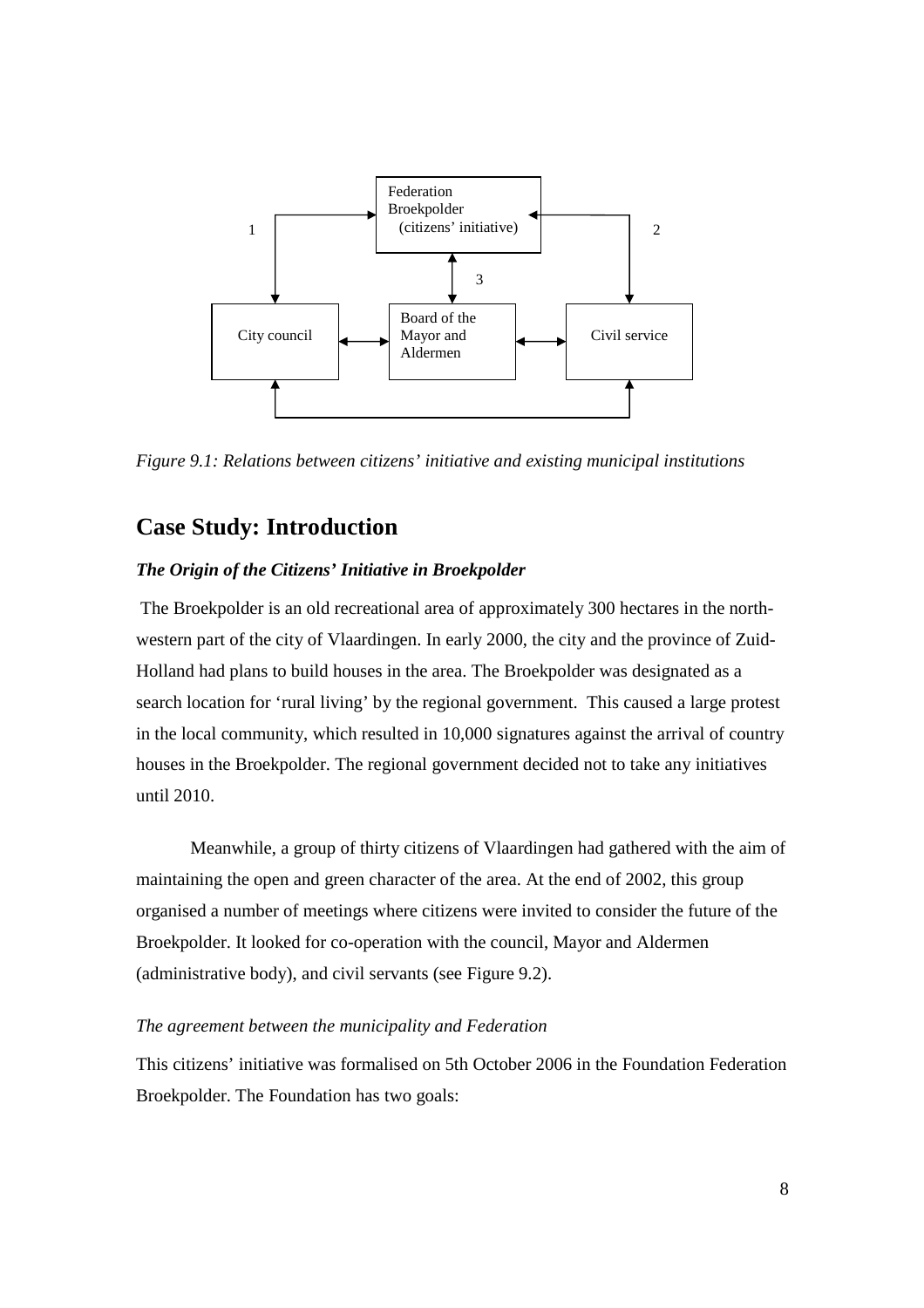

*Figure 9.1: Relations between citizens' initiative and existing municipal institutions*

# **Case Study: Introduction**

#### *The Origin of the Citizens' Initiative in Broekpolder*

The Broekpolder is an old recreational area of approximately 300 hectares in the northwestern part of the city of Vlaardingen. In early 2000, the city and the province of Zuid-Holland had plans to build houses in the area. The Broekpolder was designated as a search location for 'rural living' by the regional government. This caused a large protest in the local community, which resulted in 10,000 signatures against the arrival of country houses in the Broekpolder. The regional government decided not to take any initiatives until 2010.

Meanwhile, a group of thirty citizens of Vlaardingen had gathered with the aim of maintaining the open and green character of the area. At the end of 2002, this group organised a number of meetings where citizens were invited to consider the future of the Broekpolder. It looked for co-operation with the council, Mayor and Aldermen (administrative body), and civil servants (see Figure 9.2).

#### *The agreement between the municipality and Federation*

This citizens' initiative was formalised on 5th October 2006 in the Foundation Federation Broekpolder. The Foundation has two goals: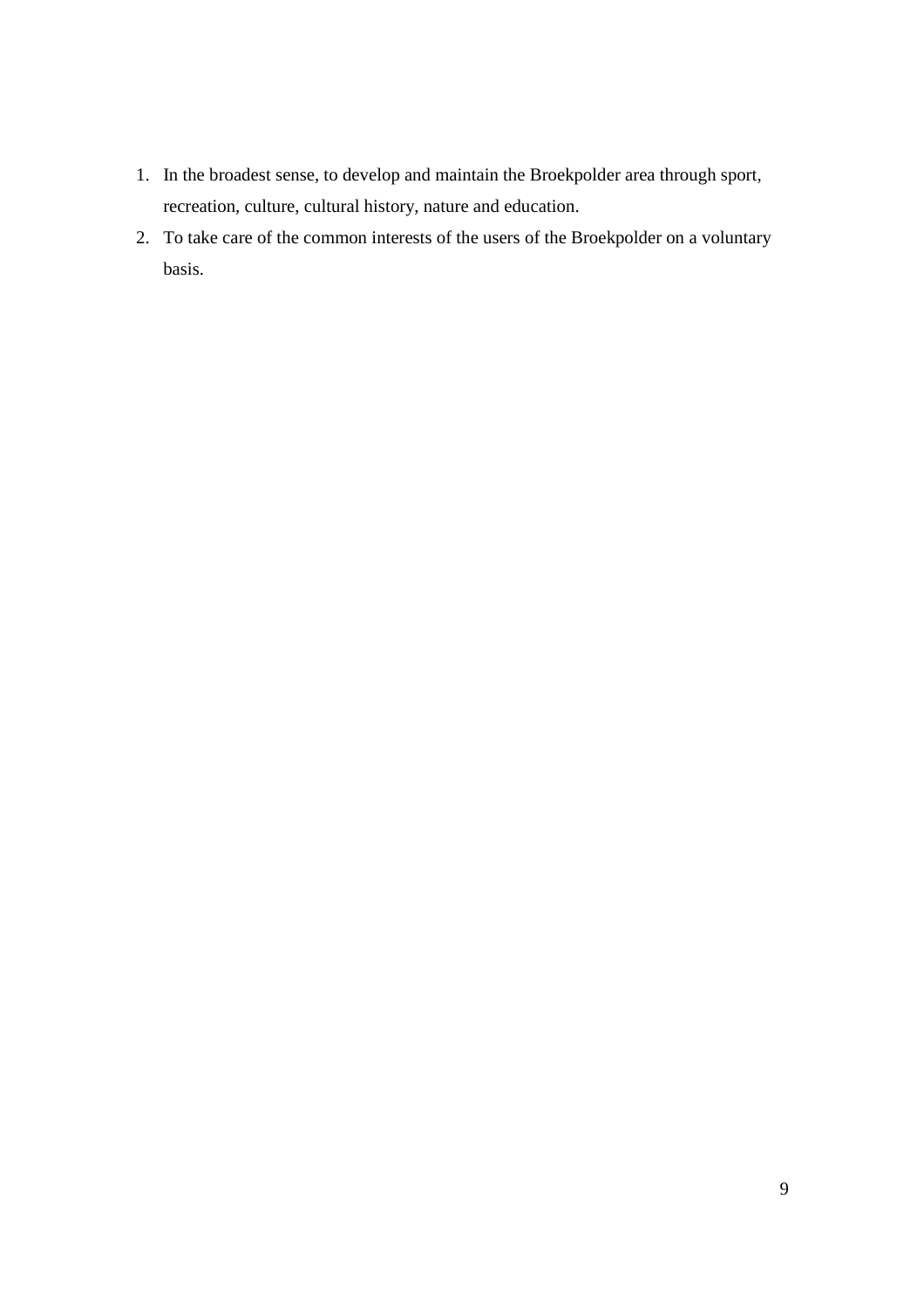- 1. In the broadest sense, to develop and maintain the Broekpolder area through sport, recreation, culture, cultural history, nature and education.
- 2. To take care of the common interests of the users of the Broekpolder on a voluntary basis.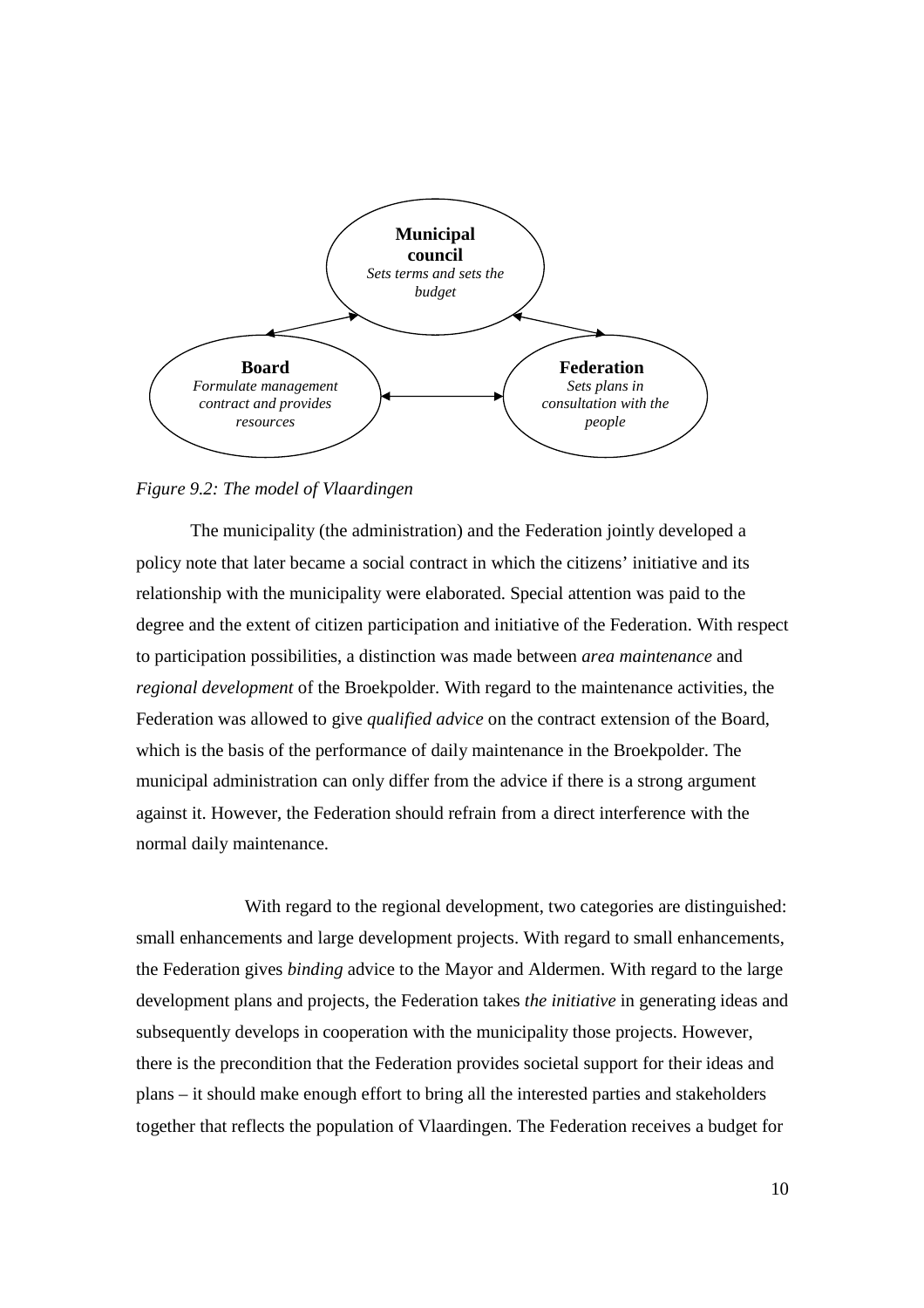

#### *Figure 9.2: The model of Vlaardingen*

The municipality (the administration) and the Federation jointly developed a policy note that later became a social contract in which the citizens' initiative and its relationship with the municipality were elaborated. Special attention was paid to the degree and the extent of citizen participation and initiative of the Federation. With respect to participation possibilities, a distinction was made between *area maintenance* and *regional development* of the Broekpolder. With regard to the maintenance activities, the Federation was allowed to give *qualified advice* on the contract extension of the Board, which is the basis of the performance of daily maintenance in the Broekpolder. The municipal administration can only differ from the advice if there is a strong argument against it. However, the Federation should refrain from a direct interference with the normal daily maintenance.

 With regard to the regional development, two categories are distinguished: small enhancements and large development projects. With regard to small enhancements, the Federation gives *binding* advice to the Mayor and Aldermen. With regard to the large development plans and projects, the Federation takes *the initiative* in generating ideas and subsequently develops in cooperation with the municipality those projects. However, there is the precondition that the Federation provides societal support for their ideas and plans – it should make enough effort to bring all the interested parties and stakeholders together that reflects the population of Vlaardingen. The Federation receives a budget for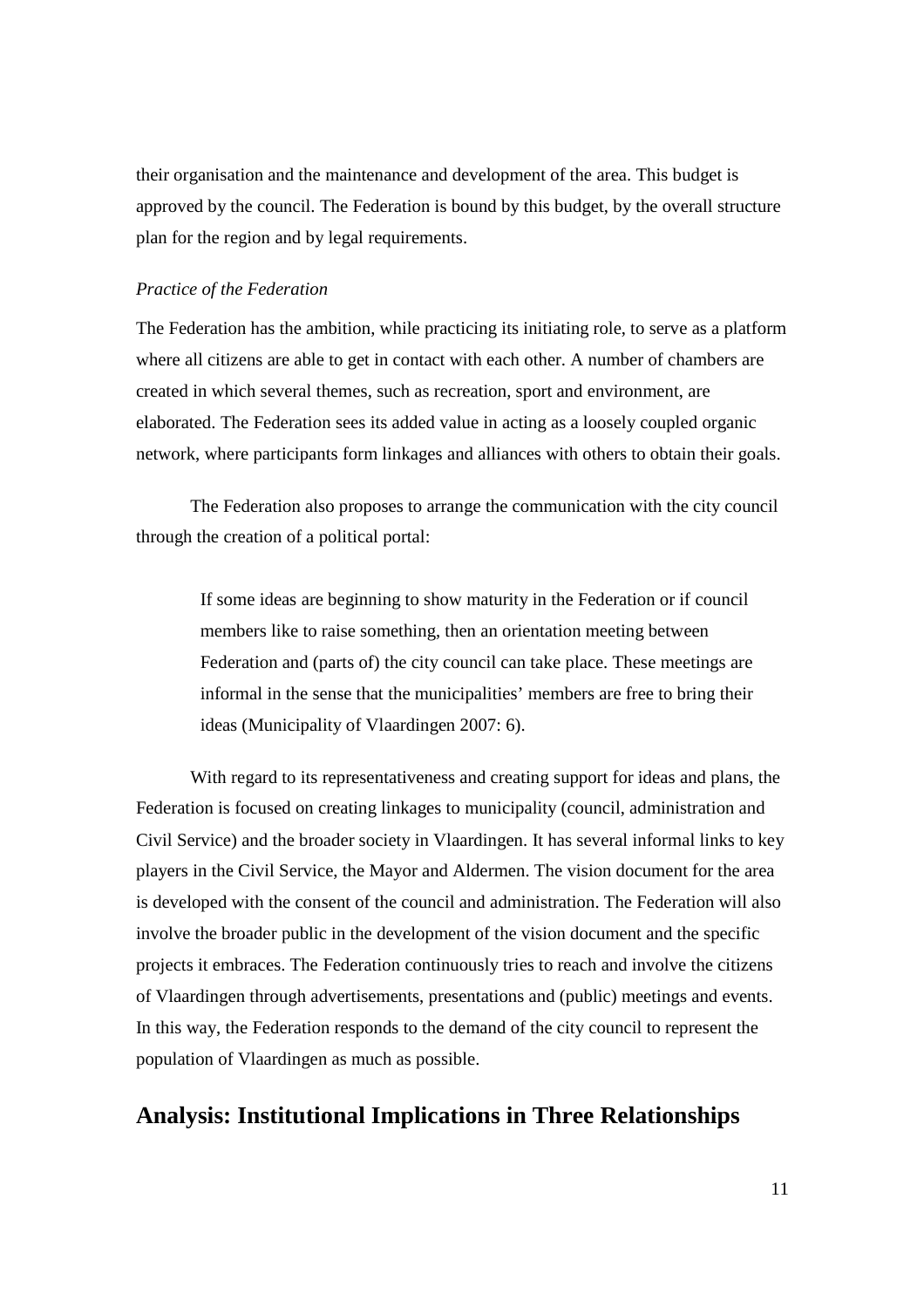their organisation and the maintenance and development of the area. This budget is approved by the council. The Federation is bound by this budget, by the overall structure plan for the region and by legal requirements.

#### *Practice of the Federation*

The Federation has the ambition, while practicing its initiating role, to serve as a platform where all citizens are able to get in contact with each other. A number of chambers are created in which several themes, such as recreation, sport and environment, are elaborated. The Federation sees its added value in acting as a loosely coupled organic network, where participants form linkages and alliances with others to obtain their goals.

The Federation also proposes to arrange the communication with the city council through the creation of a political portal:

If some ideas are beginning to show maturity in the Federation or if council members like to raise something, then an orientation meeting between Federation and (parts of) the city council can take place. These meetings are informal in the sense that the municipalities' members are free to bring their ideas (Municipality of Vlaardingen 2007: 6).

With regard to its representativeness and creating support for ideas and plans, the Federation is focused on creating linkages to municipality (council, administration and Civil Service) and the broader society in Vlaardingen. It has several informal links to key players in the Civil Service, the Mayor and Aldermen. The vision document for the area is developed with the consent of the council and administration. The Federation will also involve the broader public in the development of the vision document and the specific projects it embraces. The Federation continuously tries to reach and involve the citizens of Vlaardingen through advertisements, presentations and (public) meetings and events. In this way, the Federation responds to the demand of the city council to represent the population of Vlaardingen as much as possible.

## **Analysis: Institutional Implications in Three Relationships**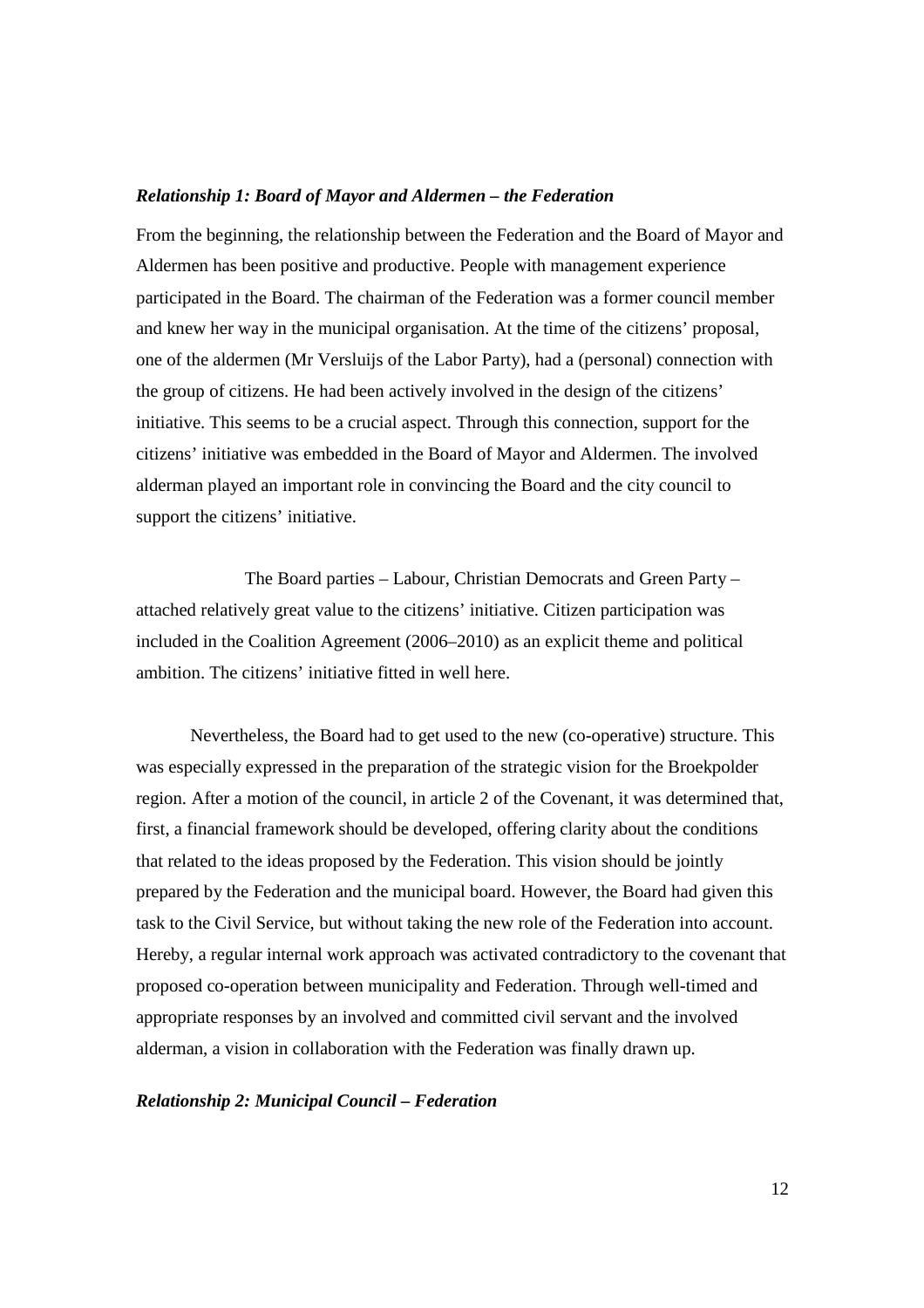#### *Relationship 1: Board of Mayor and Aldermen – the Federation*

From the beginning, the relationship between the Federation and the Board of Mayor and Aldermen has been positive and productive. People with management experience participated in the Board. The chairman of the Federation was a former council member and knew her way in the municipal organisation. At the time of the citizens' proposal, one of the aldermen (Mr Versluijs of the Labor Party), had a (personal) connection with the group of citizens. He had been actively involved in the design of the citizens' initiative. This seems to be a crucial aspect. Through this connection, support for the citizens' initiative was embedded in the Board of Mayor and Aldermen. The involved alderman played an important role in convincing the Board and the city council to support the citizens' initiative.

 The Board parties – Labour, Christian Democrats and Green Party – attached relatively great value to the citizens' initiative. Citizen participation was included in the Coalition Agreement (2006–2010) as an explicit theme and political ambition. The citizens' initiative fitted in well here.

Nevertheless, the Board had to get used to the new (co-operative) structure. This was especially expressed in the preparation of the strategic vision for the Broekpolder region. After a motion of the council, in article 2 of the Covenant, it was determined that, first, a financial framework should be developed, offering clarity about the conditions that related to the ideas proposed by the Federation. This vision should be jointly prepared by the Federation and the municipal board. However, the Board had given this task to the Civil Service, but without taking the new role of the Federation into account. Hereby, a regular internal work approach was activated contradictory to the covenant that proposed co-operation between municipality and Federation. Through well-timed and appropriate responses by an involved and committed civil servant and the involved alderman, a vision in collaboration with the Federation was finally drawn up.

#### *Relationship 2: Municipal Council – Federation*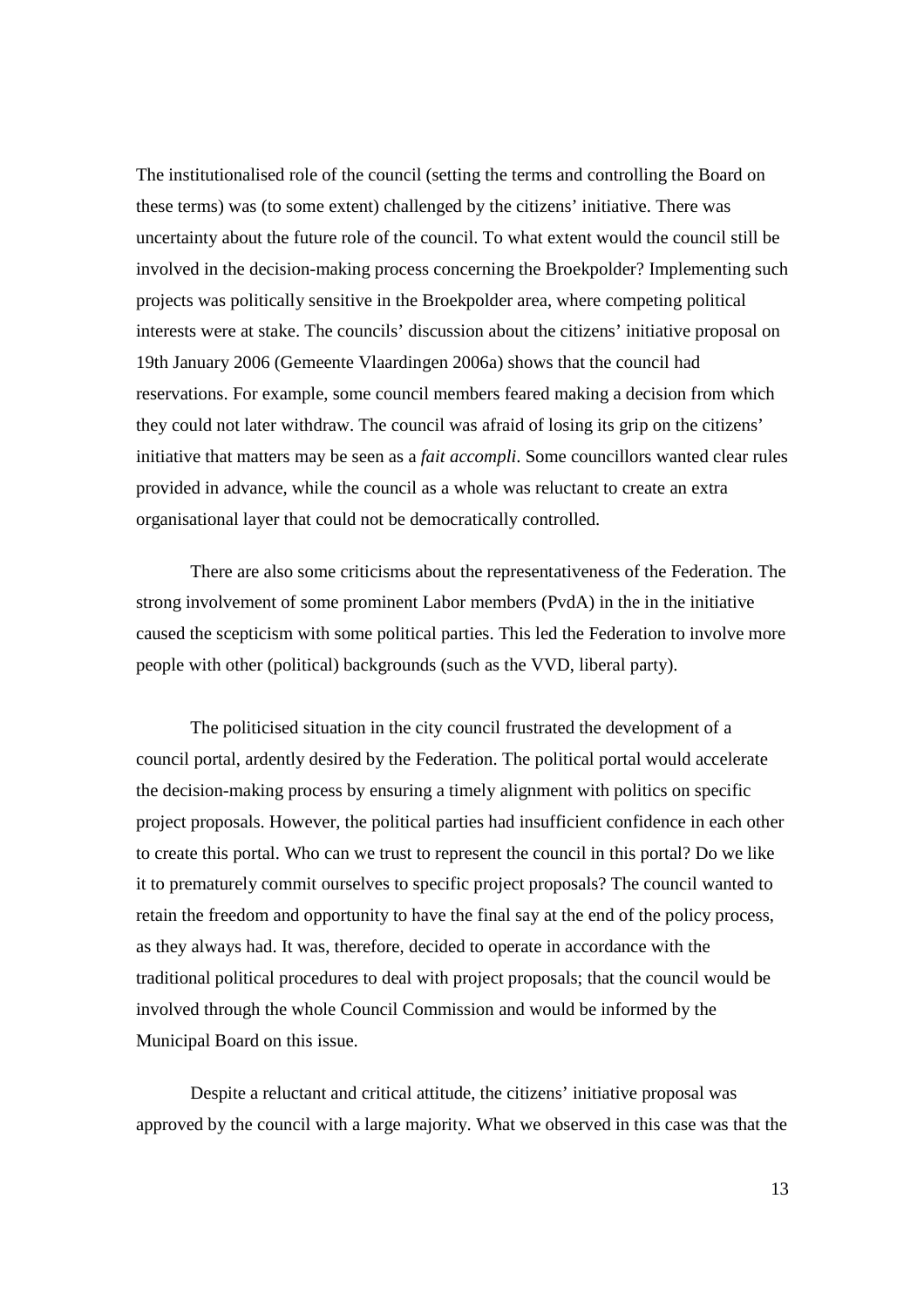The institutionalised role of the council (setting the terms and controlling the Board on these terms) was (to some extent) challenged by the citizens' initiative. There was uncertainty about the future role of the council. To what extent would the council still be involved in the decision-making process concerning the Broekpolder? Implementing such projects was politically sensitive in the Broekpolder area, where competing political interests were at stake. The councils' discussion about the citizens' initiative proposal on 19th January 2006 (Gemeente Vlaardingen 2006a) shows that the council had reservations. For example, some council members feared making a decision from which they could not later withdraw. The council was afraid of losing its grip on the citizens' initiative that matters may be seen as a *fait accompli*. Some councillors wanted clear rules provided in advance, while the council as a whole was reluctant to create an extra organisational layer that could not be democratically controlled.

There are also some criticisms about the representativeness of the Federation. The strong involvement of some prominent Labor members (PvdA) in the in the initiative caused the scepticism with some political parties. This led the Federation to involve more people with other (political) backgrounds (such as the VVD, liberal party).

The politicised situation in the city council frustrated the development of a council portal, ardently desired by the Federation. The political portal would accelerate the decision-making process by ensuring a timely alignment with politics on specific project proposals. However, the political parties had insufficient confidence in each other to create this portal. Who can we trust to represent the council in this portal? Do we like it to prematurely commit ourselves to specific project proposals? The council wanted to retain the freedom and opportunity to have the final say at the end of the policy process, as they always had. It was, therefore, decided to operate in accordance with the traditional political procedures to deal with project proposals; that the council would be involved through the whole Council Commission and would be informed by the Municipal Board on this issue.

Despite a reluctant and critical attitude, the citizens' initiative proposal was approved by the council with a large majority. What we observed in this case was that the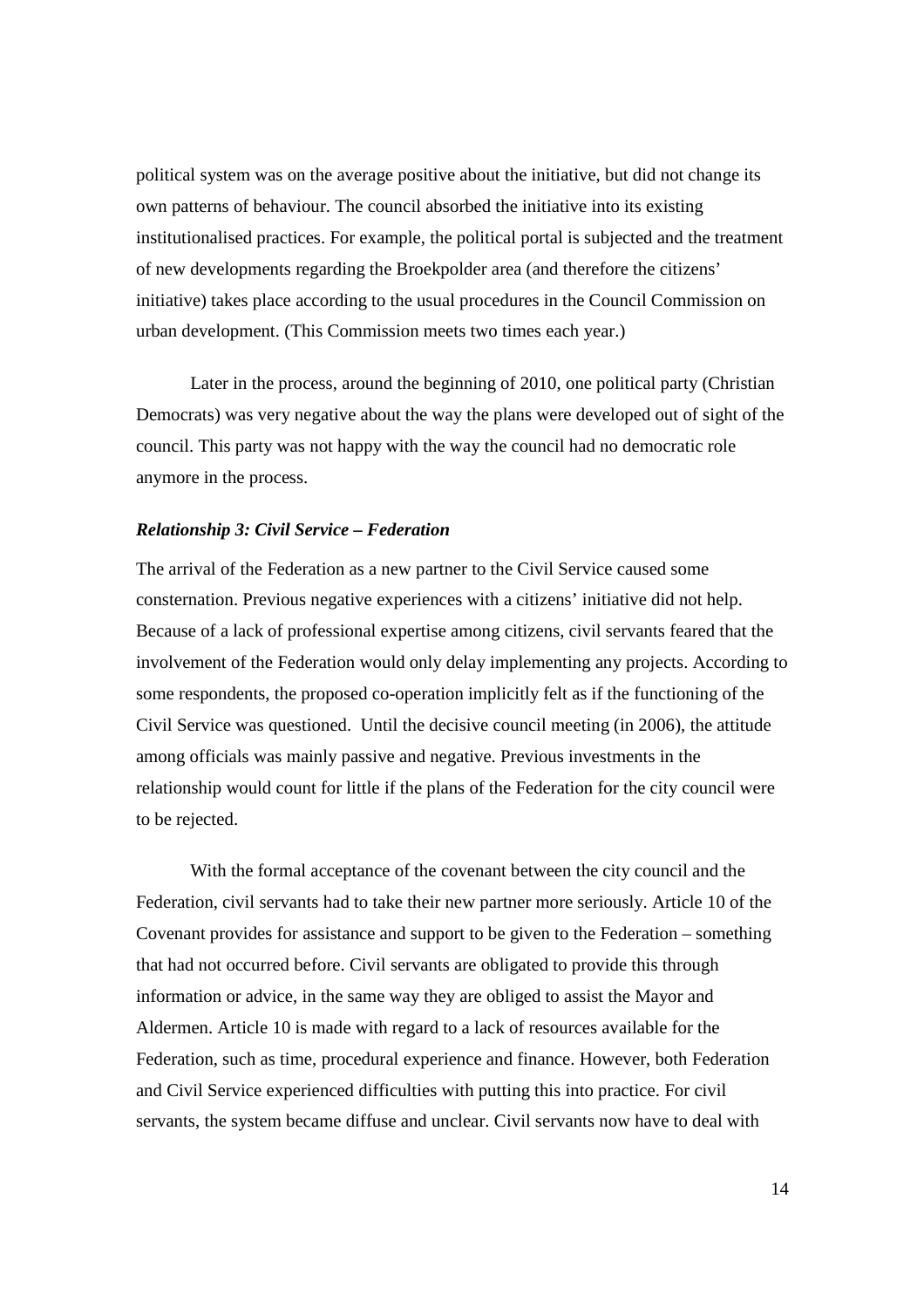political system was on the average positive about the initiative, but did not change its own patterns of behaviour. The council absorbed the initiative into its existing institutionalised practices. For example, the political portal is subjected and the treatment of new developments regarding the Broekpolder area (and therefore the citizens' initiative) takes place according to the usual procedures in the Council Commission on urban development. (This Commission meets two times each year.)

Later in the process, around the beginning of 2010, one political party (Christian Democrats) was very negative about the way the plans were developed out of sight of the council. This party was not happy with the way the council had no democratic role anymore in the process.

#### *Relationship 3: Civil Service – Federation*

The arrival of the Federation as a new partner to the Civil Service caused some consternation. Previous negative experiences with a citizens' initiative did not help. Because of a lack of professional expertise among citizens, civil servants feared that the involvement of the Federation would only delay implementing any projects. According to some respondents, the proposed co-operation implicitly felt as if the functioning of the Civil Service was questioned. Until the decisive council meeting (in 2006), the attitude among officials was mainly passive and negative. Previous investments in the relationship would count for little if the plans of the Federation for the city council were to be rejected.

With the formal acceptance of the covenant between the city council and the Federation, civil servants had to take their new partner more seriously. Article 10 of the Covenant provides for assistance and support to be given to the Federation – something that had not occurred before. Civil servants are obligated to provide this through information or advice, in the same way they are obliged to assist the Mayor and Aldermen. Article 10 is made with regard to a lack of resources available for the Federation, such as time, procedural experience and finance. However, both Federation and Civil Service experienced difficulties with putting this into practice. For civil servants, the system became diffuse and unclear. Civil servants now have to deal with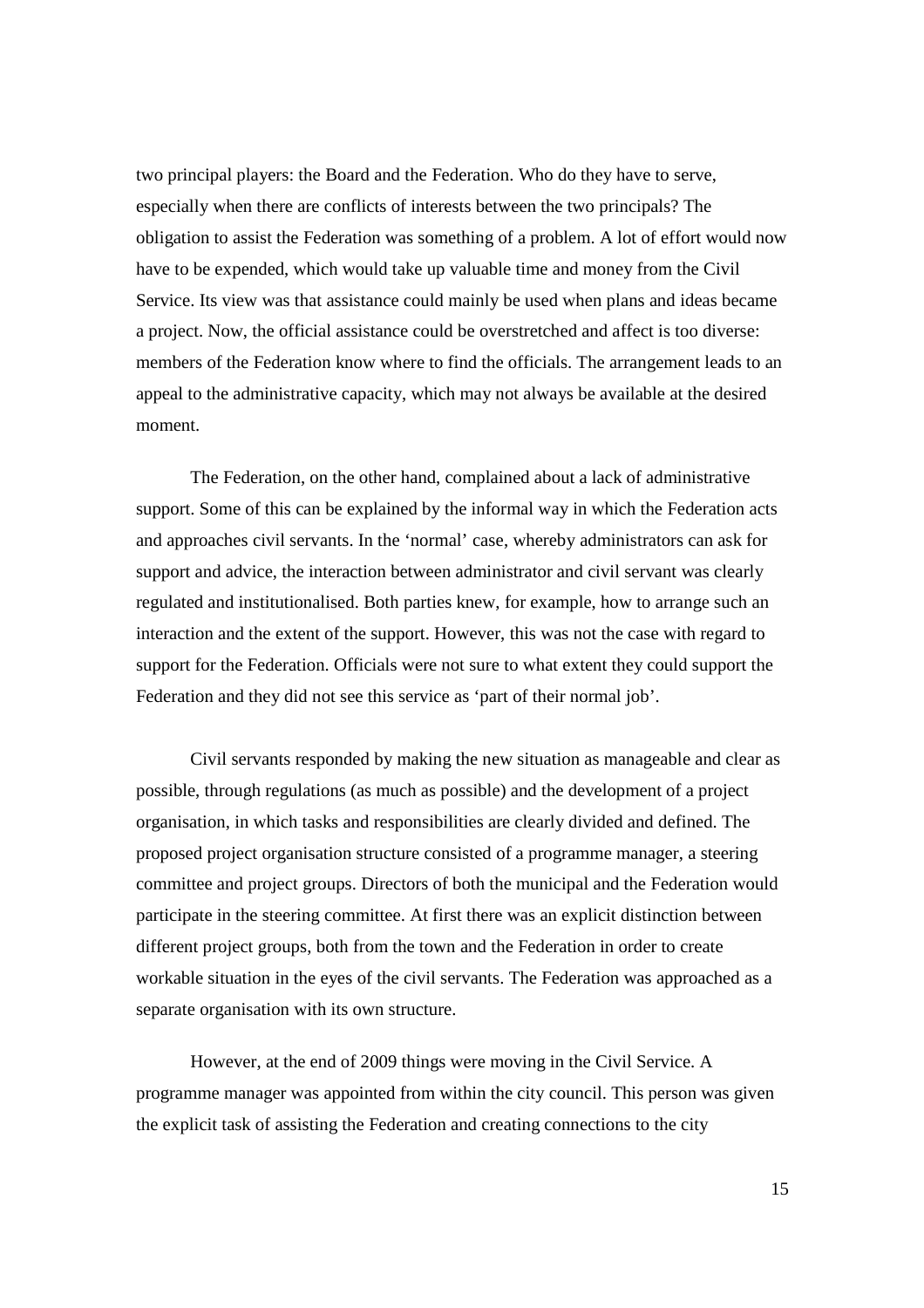two principal players: the Board and the Federation. Who do they have to serve, especially when there are conflicts of interests between the two principals? The obligation to assist the Federation was something of a problem. A lot of effort would now have to be expended, which would take up valuable time and money from the Civil Service. Its view was that assistance could mainly be used when plans and ideas became a project. Now, the official assistance could be overstretched and affect is too diverse: members of the Federation know where to find the officials. The arrangement leads to an appeal to the administrative capacity, which may not always be available at the desired moment.

The Federation, on the other hand, complained about a lack of administrative support. Some of this can be explained by the informal way in which the Federation acts and approaches civil servants. In the 'normal' case, whereby administrators can ask for support and advice, the interaction between administrator and civil servant was clearly regulated and institutionalised. Both parties knew, for example, how to arrange such an interaction and the extent of the support. However, this was not the case with regard to support for the Federation. Officials were not sure to what extent they could support the Federation and they did not see this service as 'part of their normal job'.

Civil servants responded by making the new situation as manageable and clear as possible, through regulations (as much as possible) and the development of a project organisation, in which tasks and responsibilities are clearly divided and defined. The proposed project organisation structure consisted of a programme manager, a steering committee and project groups. Directors of both the municipal and the Federation would participate in the steering committee. At first there was an explicit distinction between different project groups, both from the town and the Federation in order to create workable situation in the eyes of the civil servants. The Federation was approached as a separate organisation with its own structure.

However, at the end of 2009 things were moving in the Civil Service. A programme manager was appointed from within the city council. This person was given the explicit task of assisting the Federation and creating connections to the city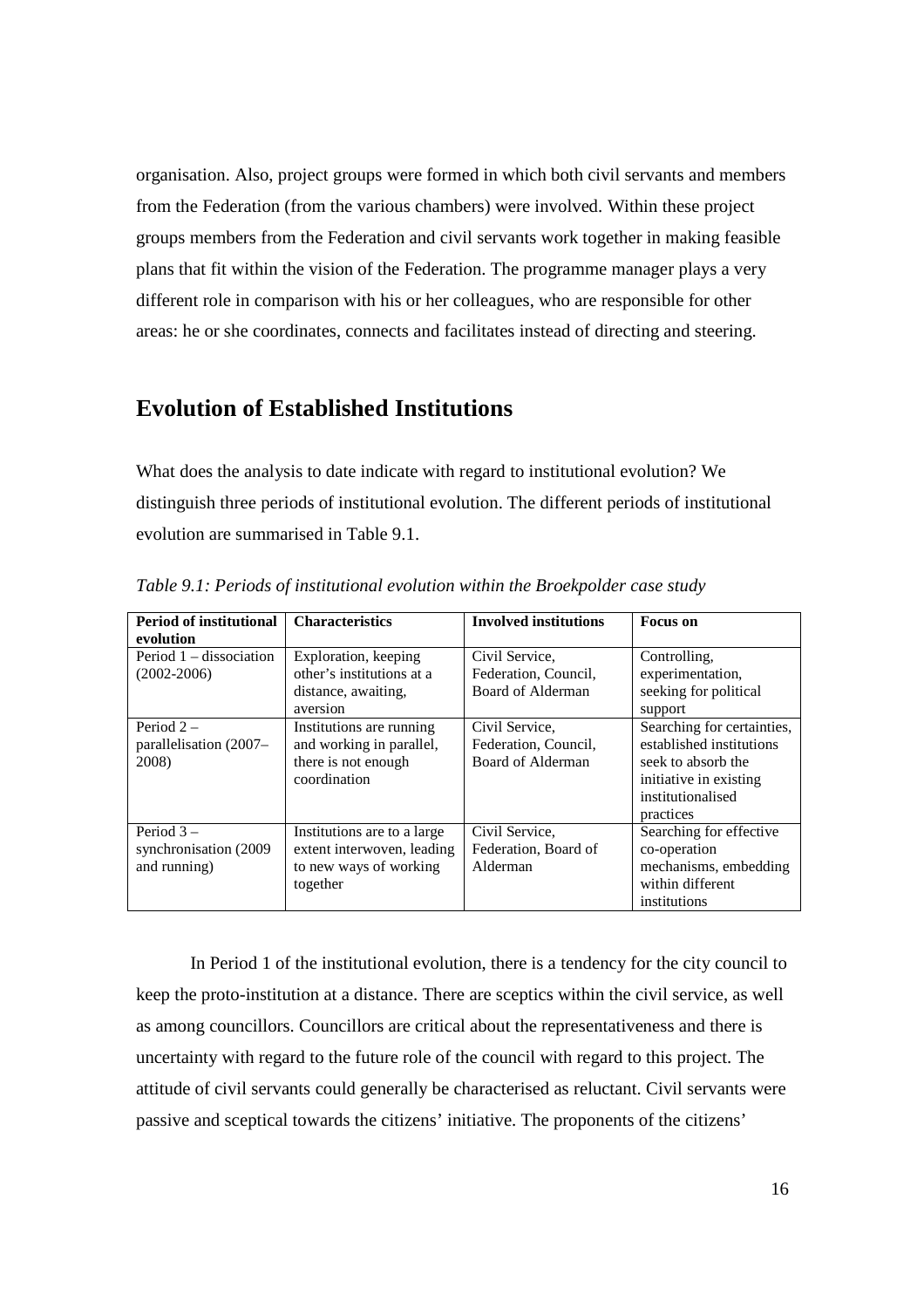organisation. Also, project groups were formed in which both civil servants and members from the Federation (from the various chambers) were involved. Within these project groups members from the Federation and civil servants work together in making feasible plans that fit within the vision of the Federation. The programme manager plays a very different role in comparison with his or her colleagues, who are responsible for other areas: he or she coordinates, connects and facilitates instead of directing and steering.

# **Evolution of Established Institutions**

What does the analysis to date indicate with regard to institutional evolution? We distinguish three periods of institutional evolution. The different periods of institutional evolution are summarised in Table 9.1.

| <b>Period of institutional</b> | <b>Characteristics</b>      | <b>Involved institutions</b> | Focus on                   |
|--------------------------------|-----------------------------|------------------------------|----------------------------|
| evolution                      |                             |                              |                            |
| Period $1 -$ dissociation      | Exploration, keeping        | Civil Service.               | Controlling,               |
| $(2002 - 2006)$                | other's institutions at a   | Federation, Council,         | experimentation,           |
|                                | distance, awaiting,         | Board of Alderman            | seeking for political      |
|                                | aversion                    |                              | support                    |
| Period $2-$                    | Institutions are running    | Civil Service.               | Searching for certainties, |
| parallelisation (2007–         | and working in parallel,    | Federation, Council,         | established institutions   |
| 2008)                          | there is not enough         | Board of Alderman            | seek to absorb the         |
|                                | coordination                |                              | initiative in existing     |
|                                |                             |                              | institutionalised          |
|                                |                             |                              | practices                  |
| Period $3-$                    | Institutions are to a large | Civil Service,               | Searching for effective    |
| synchronisation (2009)         | extent interwoven, leading  | Federation, Board of         | co-operation               |
| and running)                   | to new ways of working      | Alderman                     | mechanisms, embedding      |
|                                | together                    |                              | within different           |
|                                |                             |                              | institutions               |

*Table 9.1: Periods of institutional evolution within the Broekpolder case study* 

In Period 1 of the institutional evolution, there is a tendency for the city council to keep the proto-institution at a distance. There are sceptics within the civil service, as well as among councillors. Councillors are critical about the representativeness and there is uncertainty with regard to the future role of the council with regard to this project. The attitude of civil servants could generally be characterised as reluctant. Civil servants were passive and sceptical towards the citizens' initiative. The proponents of the citizens'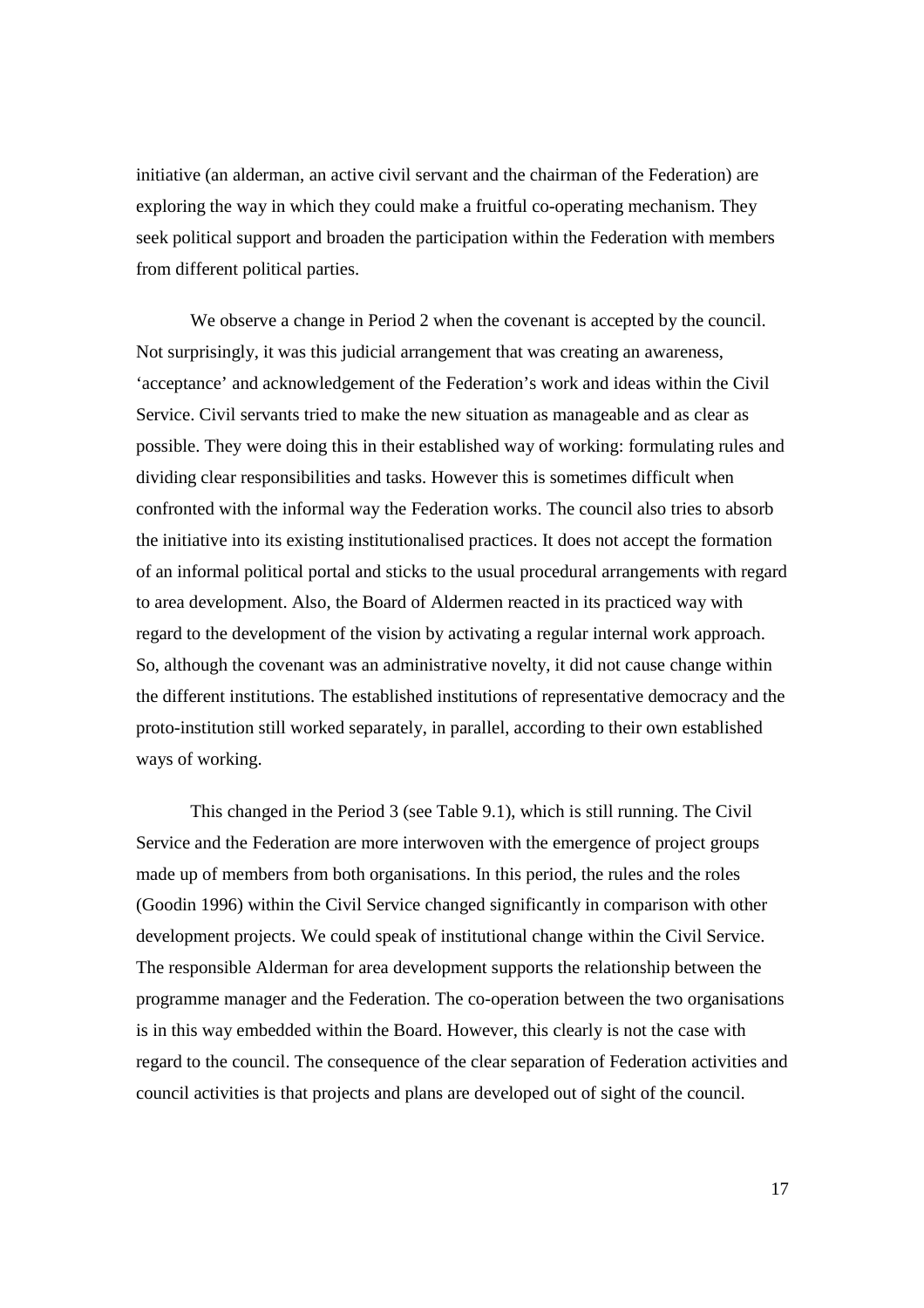initiative (an alderman, an active civil servant and the chairman of the Federation) are exploring the way in which they could make a fruitful co-operating mechanism. They seek political support and broaden the participation within the Federation with members from different political parties.

We observe a change in Period 2 when the covenant is accepted by the council. Not surprisingly, it was this judicial arrangement that was creating an awareness, 'acceptance' and acknowledgement of the Federation's work and ideas within the Civil Service. Civil servants tried to make the new situation as manageable and as clear as possible. They were doing this in their established way of working: formulating rules and dividing clear responsibilities and tasks. However this is sometimes difficult when confronted with the informal way the Federation works. The council also tries to absorb the initiative into its existing institutionalised practices. It does not accept the formation of an informal political portal and sticks to the usual procedural arrangements with regard to area development. Also, the Board of Aldermen reacted in its practiced way with regard to the development of the vision by activating a regular internal work approach. So, although the covenant was an administrative novelty, it did not cause change within the different institutions. The established institutions of representative democracy and the proto-institution still worked separately, in parallel, according to their own established ways of working.

This changed in the Period 3 (see Table 9.1), which is still running. The Civil Service and the Federation are more interwoven with the emergence of project groups made up of members from both organisations. In this period, the rules and the roles (Goodin 1996) within the Civil Service changed significantly in comparison with other development projects. We could speak of institutional change within the Civil Service. The responsible Alderman for area development supports the relationship between the programme manager and the Federation. The co-operation between the two organisations is in this way embedded within the Board. However, this clearly is not the case with regard to the council. The consequence of the clear separation of Federation activities and council activities is that projects and plans are developed out of sight of the council.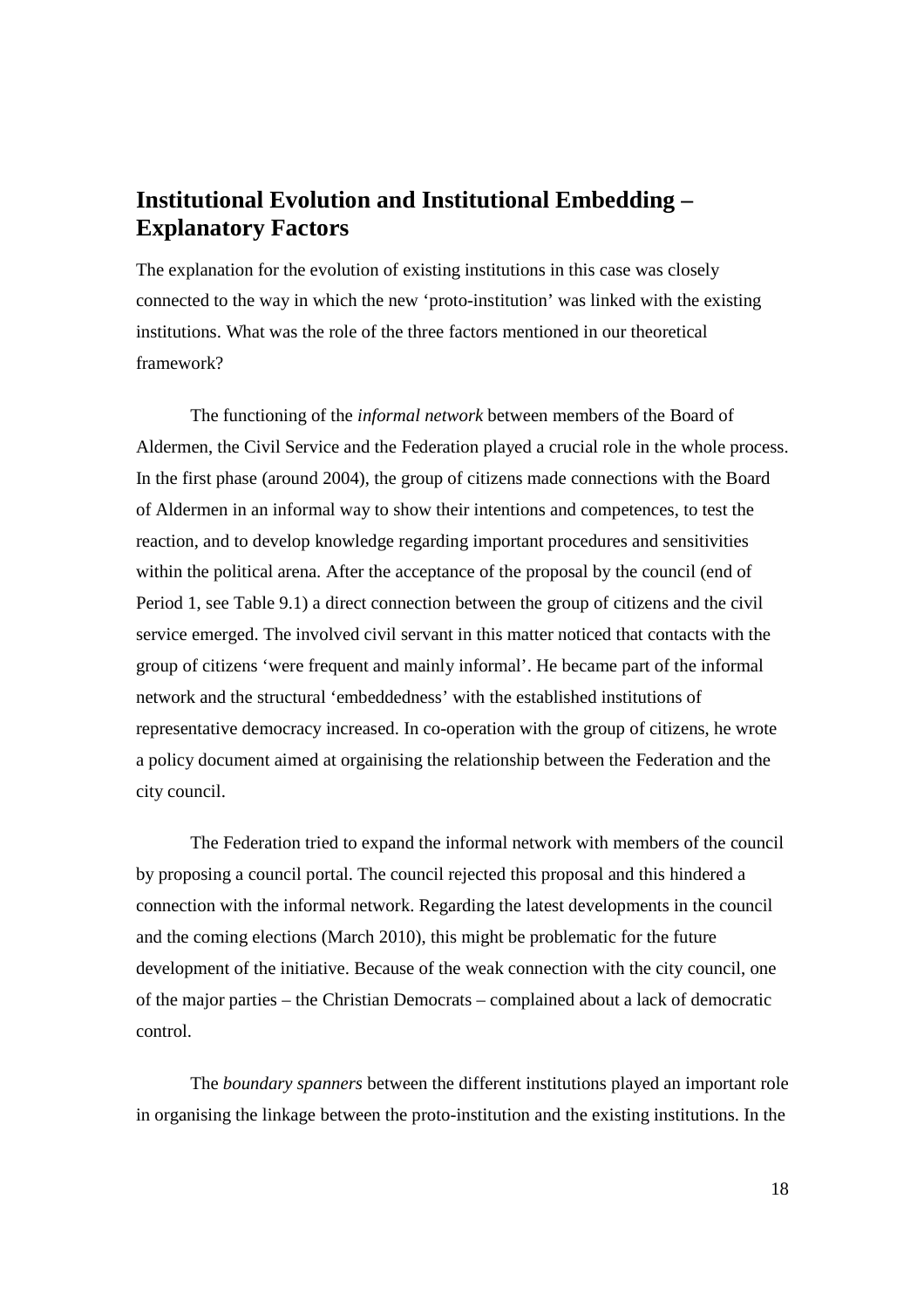# **Institutional Evolution and Institutional Embedding – Explanatory Factors**

The explanation for the evolution of existing institutions in this case was closely connected to the way in which the new 'proto-institution' was linked with the existing institutions. What was the role of the three factors mentioned in our theoretical framework?

The functioning of the *informal network* between members of the Board of Aldermen, the Civil Service and the Federation played a crucial role in the whole process. In the first phase (around 2004), the group of citizens made connections with the Board of Aldermen in an informal way to show their intentions and competences, to test the reaction, and to develop knowledge regarding important procedures and sensitivities within the political arena. After the acceptance of the proposal by the council (end of Period 1, see Table 9.1) a direct connection between the group of citizens and the civil service emerged. The involved civil servant in this matter noticed that contacts with the group of citizens 'were frequent and mainly informal'. He became part of the informal network and the structural 'embeddedness' with the established institutions of representative democracy increased. In co-operation with the group of citizens, he wrote a policy document aimed at orgainising the relationship between the Federation and the city council.

The Federation tried to expand the informal network with members of the council by proposing a council portal. The council rejected this proposal and this hindered a connection with the informal network. Regarding the latest developments in the council and the coming elections (March 2010), this might be problematic for the future development of the initiative. Because of the weak connection with the city council, one of the major parties – the Christian Democrats – complained about a lack of democratic control.

The *boundary spanners* between the different institutions played an important role in organising the linkage between the proto-institution and the existing institutions. In the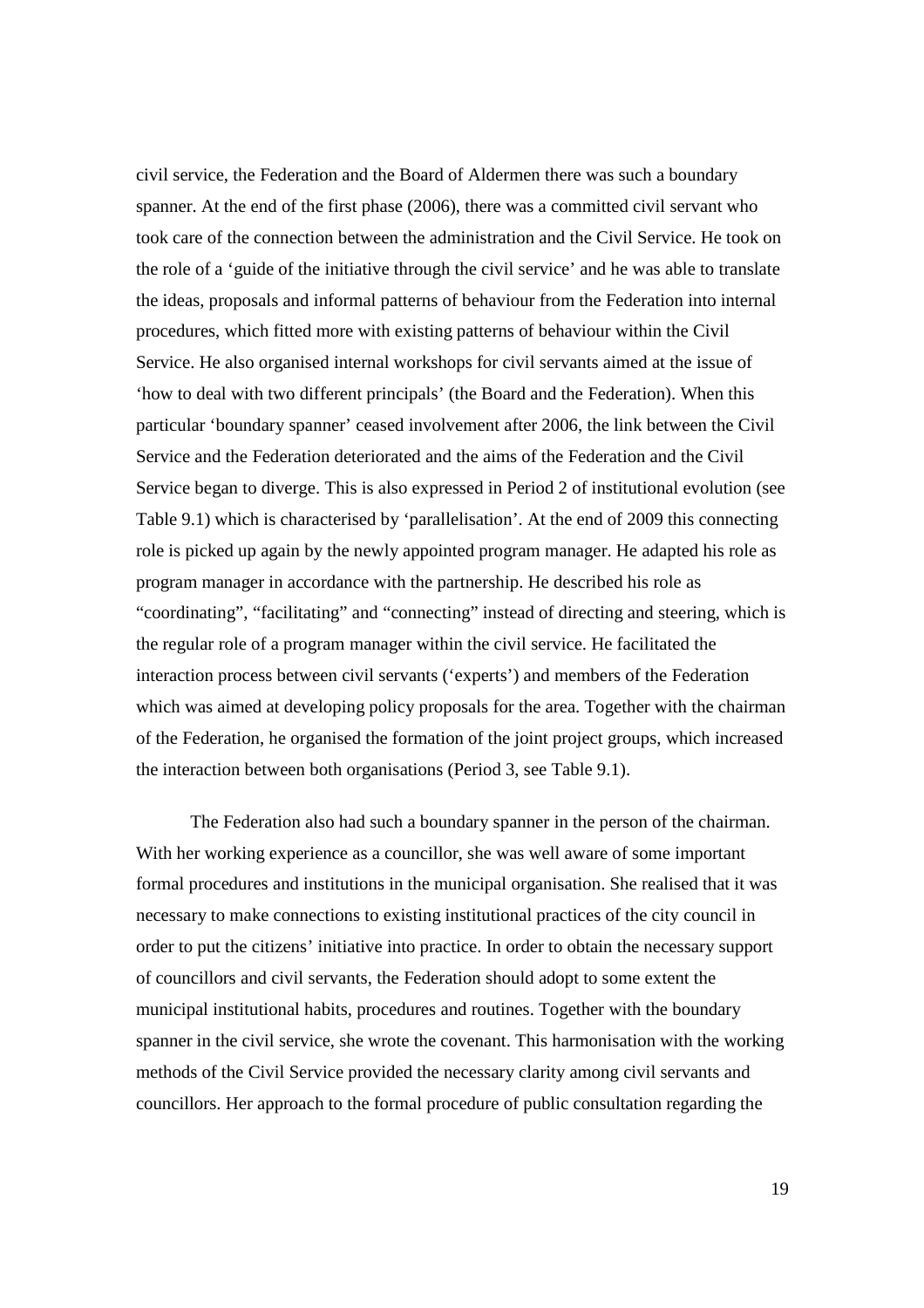civil service, the Federation and the Board of Aldermen there was such a boundary spanner. At the end of the first phase (2006), there was a committed civil servant who took care of the connection between the administration and the Civil Service. He took on the role of a 'guide of the initiative through the civil service' and he was able to translate the ideas, proposals and informal patterns of behaviour from the Federation into internal procedures, which fitted more with existing patterns of behaviour within the Civil Service. He also organised internal workshops for civil servants aimed at the issue of 'how to deal with two different principals' (the Board and the Federation). When this particular 'boundary spanner' ceased involvement after 2006, the link between the Civil Service and the Federation deteriorated and the aims of the Federation and the Civil Service began to diverge. This is also expressed in Period 2 of institutional evolution (see Table 9.1) which is characterised by 'parallelisation'. At the end of 2009 this connecting role is picked up again by the newly appointed program manager. He adapted his role as program manager in accordance with the partnership. He described his role as "coordinating", "facilitating" and "connecting" instead of directing and steering, which is the regular role of a program manager within the civil service. He facilitated the interaction process between civil servants ('experts') and members of the Federation which was aimed at developing policy proposals for the area. Together with the chairman of the Federation, he organised the formation of the joint project groups, which increased the interaction between both organisations (Period 3, see Table 9.1).

The Federation also had such a boundary spanner in the person of the chairman. With her working experience as a councillor, she was well aware of some important formal procedures and institutions in the municipal organisation. She realised that it was necessary to make connections to existing institutional practices of the city council in order to put the citizens' initiative into practice. In order to obtain the necessary support of councillors and civil servants, the Federation should adopt to some extent the municipal institutional habits, procedures and routines. Together with the boundary spanner in the civil service, she wrote the covenant. This harmonisation with the working methods of the Civil Service provided the necessary clarity among civil servants and councillors. Her approach to the formal procedure of public consultation regarding the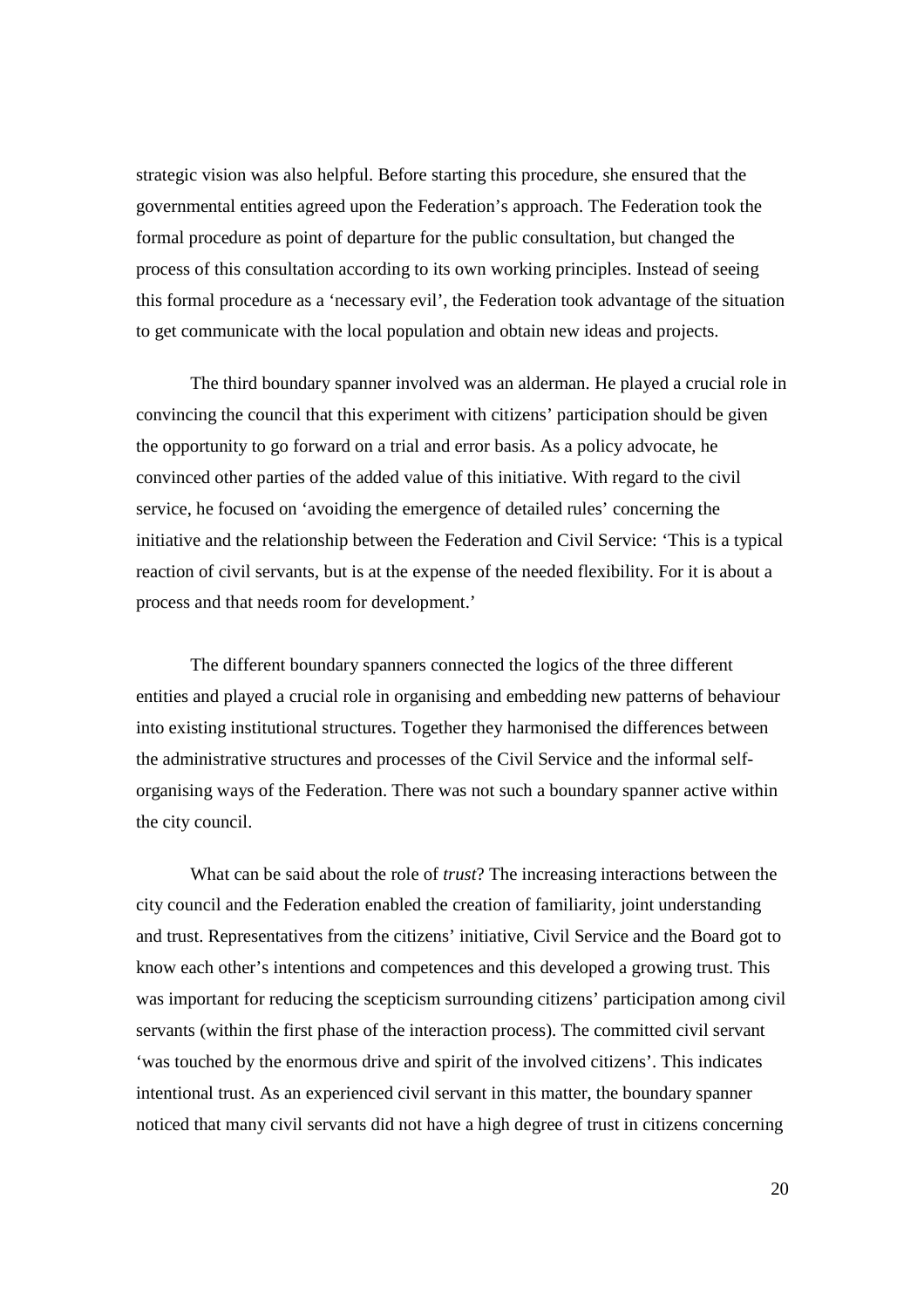strategic vision was also helpful. Before starting this procedure, she ensured that the governmental entities agreed upon the Federation's approach. The Federation took the formal procedure as point of departure for the public consultation, but changed the process of this consultation according to its own working principles. Instead of seeing this formal procedure as a 'necessary evil', the Federation took advantage of the situation to get communicate with the local population and obtain new ideas and projects.

The third boundary spanner involved was an alderman. He played a crucial role in convincing the council that this experiment with citizens' participation should be given the opportunity to go forward on a trial and error basis. As a policy advocate, he convinced other parties of the added value of this initiative. With regard to the civil service, he focused on 'avoiding the emergence of detailed rules' concerning the initiative and the relationship between the Federation and Civil Service: 'This is a typical reaction of civil servants, but is at the expense of the needed flexibility. For it is about a process and that needs room for development.'

The different boundary spanners connected the logics of the three different entities and played a crucial role in organising and embedding new patterns of behaviour into existing institutional structures. Together they harmonised the differences between the administrative structures and processes of the Civil Service and the informal selforganising ways of the Federation. There was not such a boundary spanner active within the city council.

What can be said about the role of *trust*? The increasing interactions between the city council and the Federation enabled the creation of familiarity, joint understanding and trust. Representatives from the citizens' initiative, Civil Service and the Board got to know each other's intentions and competences and this developed a growing trust. This was important for reducing the scepticism surrounding citizens' participation among civil servants (within the first phase of the interaction process). The committed civil servant 'was touched by the enormous drive and spirit of the involved citizens'. This indicates intentional trust. As an experienced civil servant in this matter, the boundary spanner noticed that many civil servants did not have a high degree of trust in citizens concerning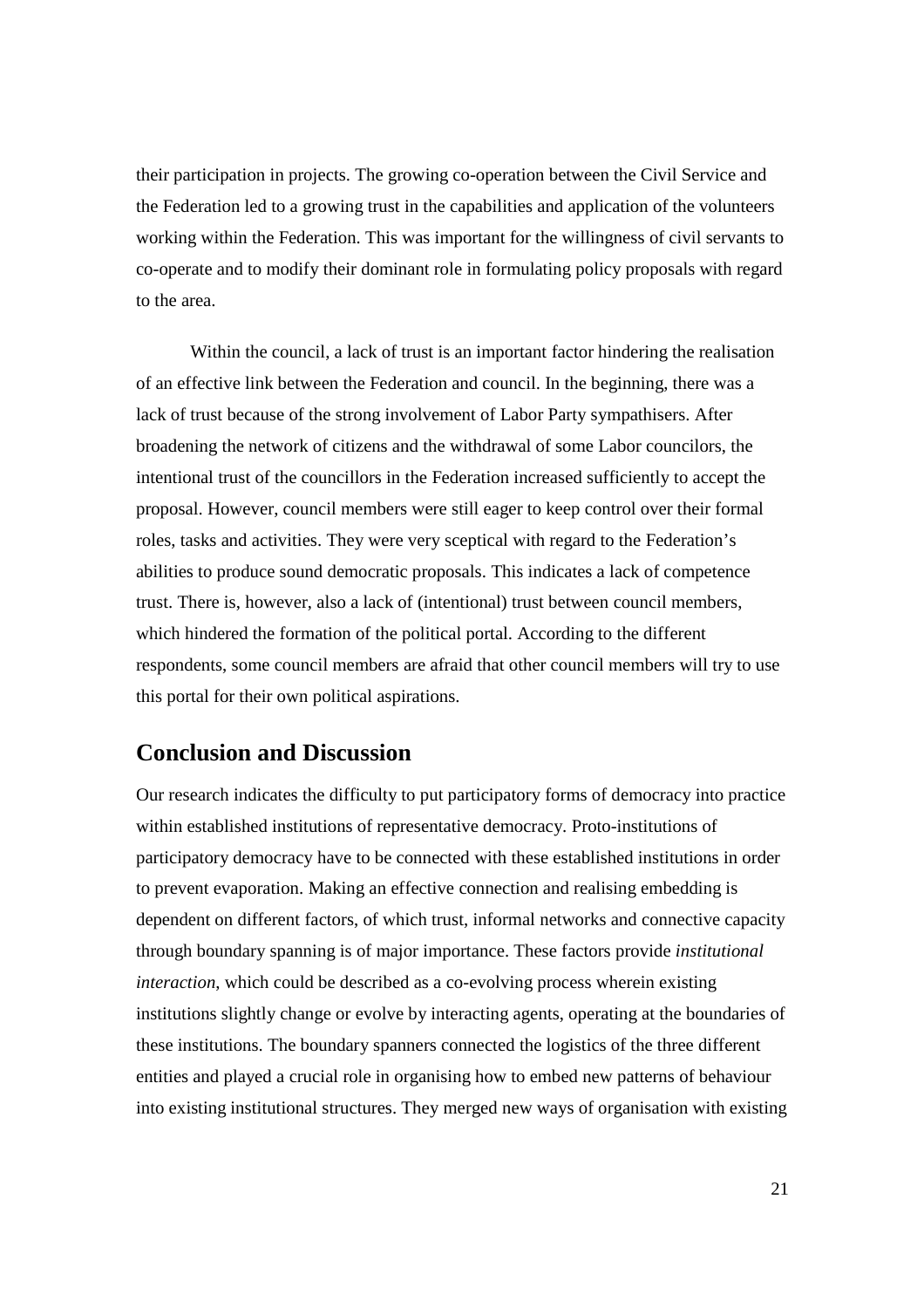their participation in projects. The growing co-operation between the Civil Service and the Federation led to a growing trust in the capabilities and application of the volunteers working within the Federation. This was important for the willingness of civil servants to co-operate and to modify their dominant role in formulating policy proposals with regard to the area.

Within the council, a lack of trust is an important factor hindering the realisation of an effective link between the Federation and council. In the beginning, there was a lack of trust because of the strong involvement of Labor Party sympathisers. After broadening the network of citizens and the withdrawal of some Labor councilors, the intentional trust of the councillors in the Federation increased sufficiently to accept the proposal. However, council members were still eager to keep control over their formal roles, tasks and activities. They were very sceptical with regard to the Federation's abilities to produce sound democratic proposals. This indicates a lack of competence trust. There is, however, also a lack of (intentional) trust between council members, which hindered the formation of the political portal. According to the different respondents, some council members are afraid that other council members will try to use this portal for their own political aspirations.

## **Conclusion and Discussion**

Our research indicates the difficulty to put participatory forms of democracy into practice within established institutions of representative democracy. Proto-institutions of participatory democracy have to be connected with these established institutions in order to prevent evaporation. Making an effective connection and realising embedding is dependent on different factors, of which trust, informal networks and connective capacity through boundary spanning is of major importance. These factors provide *institutional interaction*, which could be described as a co-evolving process wherein existing institutions slightly change or evolve by interacting agents, operating at the boundaries of these institutions. The boundary spanners connected the logistics of the three different entities and played a crucial role in organising how to embed new patterns of behaviour into existing institutional structures. They merged new ways of organisation with existing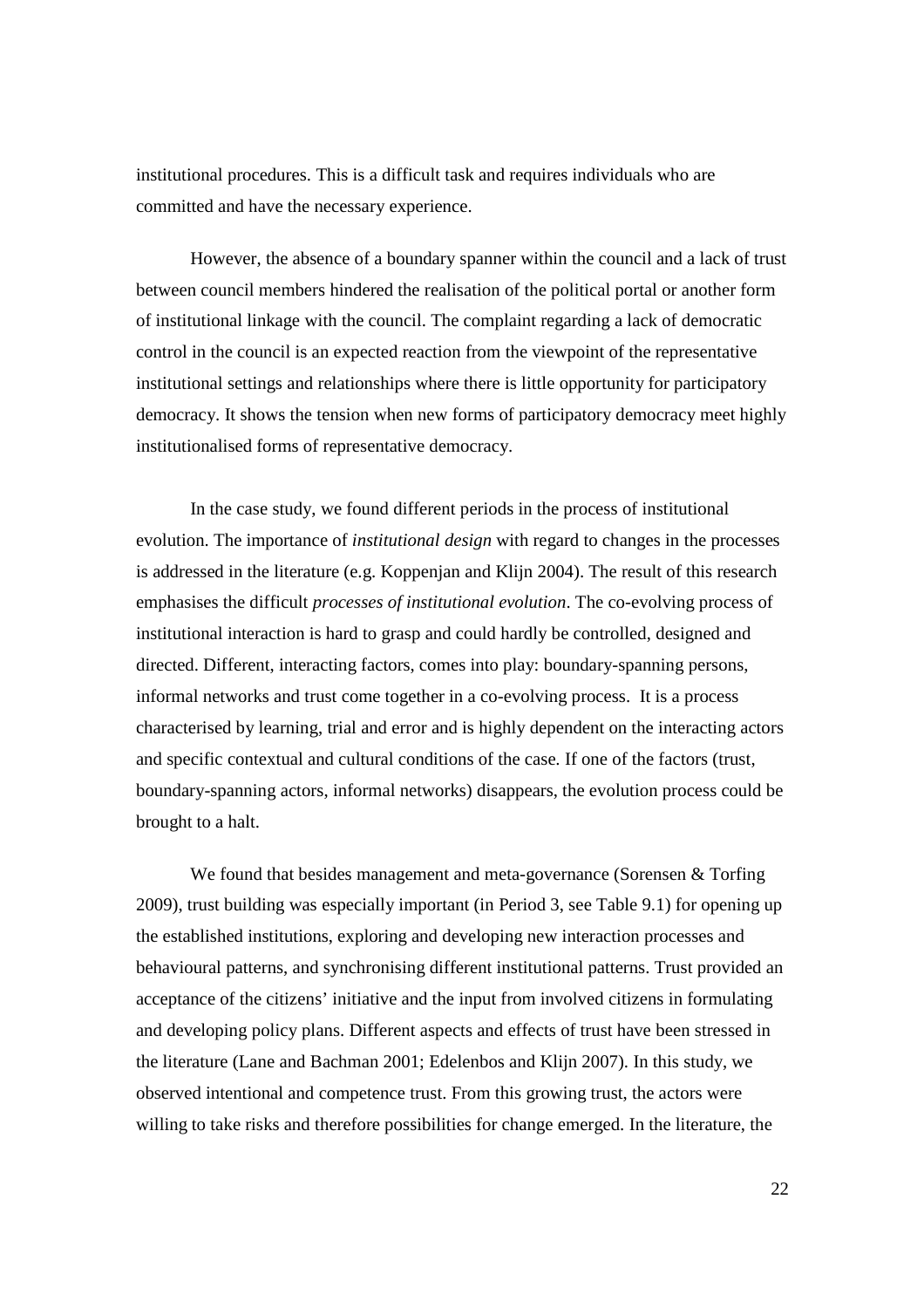institutional procedures. This is a difficult task and requires individuals who are committed and have the necessary experience.

However, the absence of a boundary spanner within the council and a lack of trust between council members hindered the realisation of the political portal or another form of institutional linkage with the council. The complaint regarding a lack of democratic control in the council is an expected reaction from the viewpoint of the representative institutional settings and relationships where there is little opportunity for participatory democracy. It shows the tension when new forms of participatory democracy meet highly institutionalised forms of representative democracy.

In the case study, we found different periods in the process of institutional evolution. The importance of *institutional design* with regard to changes in the processes is addressed in the literature (e.g. Koppenjan and Klijn 2004). The result of this research emphasises the difficult *processes of institutional evolution*. The co-evolving process of institutional interaction is hard to grasp and could hardly be controlled, designed and directed. Different, interacting factors, comes into play: boundary-spanning persons, informal networks and trust come together in a co-evolving process. It is a process characterised by learning, trial and error and is highly dependent on the interacting actors and specific contextual and cultural conditions of the case. If one of the factors (trust, boundary-spanning actors, informal networks) disappears, the evolution process could be brought to a halt.

We found that besides management and meta-governance (Sorensen & Torfing 2009), trust building was especially important (in Period 3, see Table 9.1) for opening up the established institutions, exploring and developing new interaction processes and behavioural patterns, and synchronising different institutional patterns. Trust provided an acceptance of the citizens' initiative and the input from involved citizens in formulating and developing policy plans. Different aspects and effects of trust have been stressed in the literature (Lane and Bachman 2001; Edelenbos and Klijn 2007). In this study, we observed intentional and competence trust. From this growing trust, the actors were willing to take risks and therefore possibilities for change emerged. In the literature, the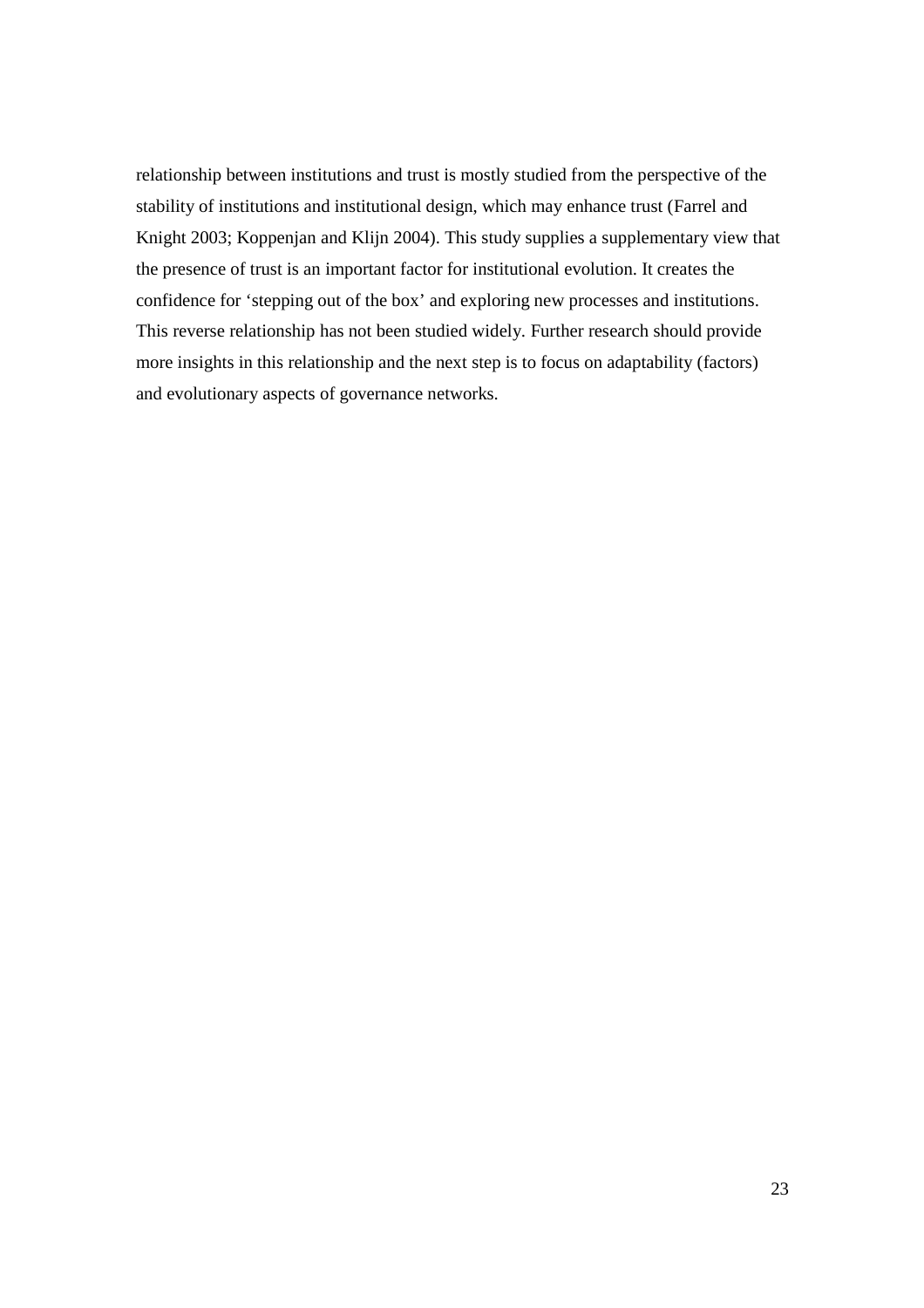relationship between institutions and trust is mostly studied from the perspective of the stability of institutions and institutional design, which may enhance trust (Farrel and Knight 2003; Koppenjan and Klijn 2004). This study supplies a supplementary view that the presence of trust is an important factor for institutional evolution. It creates the confidence for 'stepping out of the box' and exploring new processes and institutions. This reverse relationship has not been studied widely. Further research should provide more insights in this relationship and the next step is to focus on adaptability (factors) and evolutionary aspects of governance networks.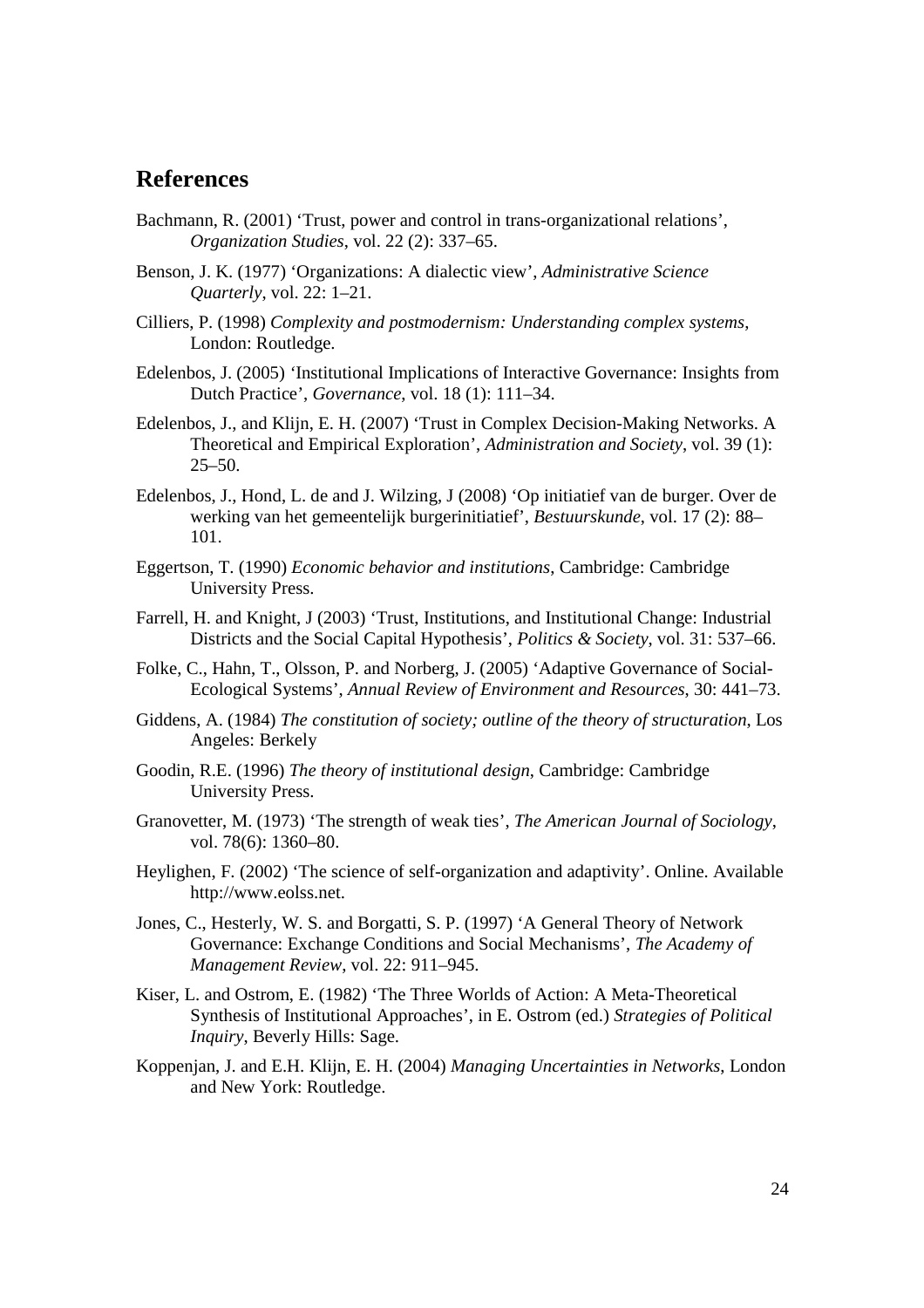## **References**

- Bachmann, R. (2001) 'Trust, power and control in trans-organizational relations', *Organization Studies*, vol. 22 (2): 337–65.
- Benson, J. K. (1977) 'Organizations: A dialectic view', *Administrative Science Quarterly*, vol. 22: 1–21.
- Cilliers, P. (1998) *Complexity and postmodernism: Understanding complex systems*, London: Routledge.
- Edelenbos, J. (2005) *'*Institutional Implications of Interactive Governance: Insights from Dutch Practice', *Governance*, vol. 18 (1): 111–34.
- Edelenbos, J., and Klijn, E. H. (2007) 'Trust in Complex Decision-Making Networks. A Theoretical and Empirical Exploration', *Administration and Society*, vol. 39 (1): 25–50.
- Edelenbos, J., Hond, L. de and J. Wilzing, J (2008) 'Op initiatief van de burger. Over de werking van het gemeentelijk burgerinitiatief', *Bestuurskunde*, vol. 17 (2): 88– 101.
- Eggertson, T. (1990) *Economic behavior and institutions*, Cambridge: Cambridge University Press.
- Farrell, H. and Knight, J (2003) 'Trust, Institutions, and Institutional Change: Industrial Districts and the Social Capital Hypothesis', *Politics & Society*, vol. 31: 537–66.
- Folke, C., Hahn, T., Olsson, P. and Norberg, J. (2005) 'Adaptive Governance of Social-Ecological Systems', *Annual Review of Environment and Resources*, 30: 441–73.
- Giddens, A. (1984) *The constitution of society; outline of the theory of structuration*, Los Angeles: Berkely
- Goodin, R.E. (1996) *The theory of institutional design*, Cambridge: Cambridge University Press.
- Granovetter, M. (1973) 'The strength of weak ties', *The American Journal of Sociology*, vol. 78(6): 1360–80.
- Heylighen, F. (2002) 'The science of self-organization and adaptivity'. Online. Available http://www.eolss.net.
- Jones, C., Hesterly, W. S. and Borgatti, S. P. (1997) 'A General Theory of Network Governance: Exchange Conditions and Social Mechanisms', *The Academy of Management Review*, vol. 22: 911–945.
- Kiser, L. and Ostrom, E. (1982) 'The Three Worlds of Action: A Meta-Theoretical Synthesis of Institutional Approaches', in E. Ostrom (ed.) *Strategies of Political Inquiry*, Beverly Hills: Sage.
- Koppenjan, J. and E.H. Klijn, E. H. (2004) *Managing Uncertainties in Networks*, London and New York: Routledge.